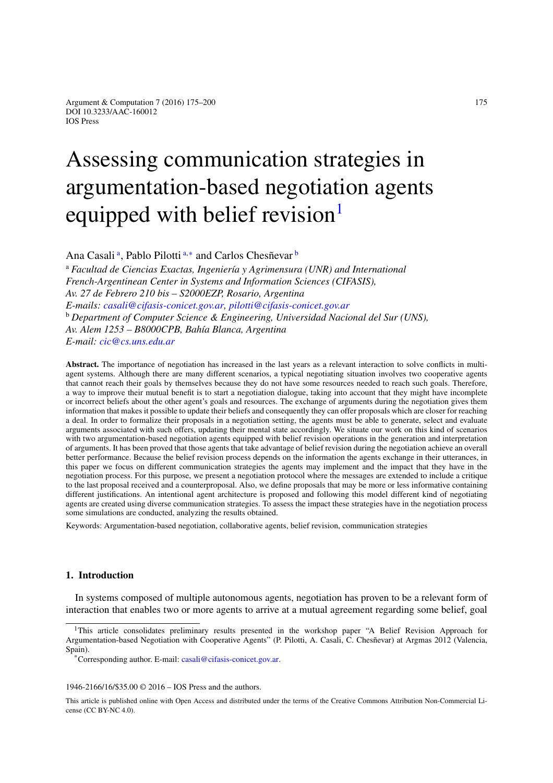# Assessing communication strategies in argumentation-based negotiation agents equipped with belief revision<sup>1</sup>

<span id="page-0-1"></span>An[a](#page-0-1) Casali<sup>a</sup>, Pablo Pilotti<sup>a,[∗](#page-0-2)</sup> and Carlos Chesñevar <sup>[b](#page-0-3)</sup>

<span id="page-0-3"></span><sup>a</sup> *Facultad de Ciencias Exactas, Ingeniería y Agrimensura (UNR) and International French-Argentinean Center in Systems and Information Sciences (CIFASIS), Av. 27 de Febrero 210 bis – S2000EZP, Rosario, Argentina E-mails: [casali@cifasis-conicet.gov.ar,](mailto:casali@cifasis-conicet.gov.ar) [pilotti@cifasis-conicet.gov.ar](mailto:pilotti@cifasis-conicet.gov.ar)* <sup>b</sup> *Department of Computer Science & Engineering, Universidad Nacional del Sur (UNS), Av. Alem 1253 – B8000CPB, Bahía Blanca, Argentina E-mail: [cic@cs.uns.edu.ar](mailto:cic@cs.uns.edu.ar)*

**Abstract.** The importance of negotiation has increased in the last years as a relevant interaction to solve conflicts in multiagent systems. Although there are many different scenarios, a typical negotiating situation involves two cooperative agents that cannot reach their goals by themselves because they do not have some resources needed to reach such goals. Therefore, a way to improve their mutual benefit is to start a negotiation dialogue, taking into account that they might have incomplete or incorrect beliefs about the other agent's goals and resources. The exchange of arguments during the negotiation gives them information that makes it possible to update their beliefs and consequently they can offer proposals which are closer for reaching a deal. In order to formalize their proposals in a negotiation setting, the agents must be able to generate, select and evaluate arguments associated with such offers, updating their mental state accordingly. We situate our work on this kind of scenarios with two argumentation-based negotiation agents equipped with belief revision operations in the generation and interpretation of arguments. It has been proved that those agents that take advantage of belief revision during the negotiation achieve an overall better performance. Because the belief revision process depends on the information the agents exchange in their utterances, in this paper we focus on different communication strategies the agents may implement and the impact that they have in the negotiation process. For this purpose, we present a negotiation protocol where the messages are extended to include a critique to the last proposal received and a counterproposal. Also, we define proposals that may be more or less informative containing different justifications. An intentional agent architecture is proposed and following this model different kind of negotiating agents are created using diverse communication strategies. To assess the impact these strategies have in the negotiation process some simulations are conducted, analyzing the results obtained.

Keywords: Argumentation-based negotiation, collaborative agents, belief revision, communication strategies

# <span id="page-0-4"></span>**1. Introduction**

In systems composed of multiple autonomous agents, negotiation has proven to be a relevant form of interaction that enables two or more agents to arrive at a mutual agreement regarding some belief, goal

1946-2166/16/\$35.00 © 2016 – IOS Press and the authors.

<span id="page-0-0"></span><sup>&</sup>lt;sup>1</sup>This article consolidates preliminary results presented in the workshop paper "A Belief Revision Approach for Argumentation-based Negotiation with Cooperative Agents" (P. Pilotti, A. Casali, C. Chesñevar) at Argmas 2012 (Valencia, Spain).

<span id="page-0-2"></span><sup>\*</sup>Corresponding author. E-mail: [casali@cifasis-conicet.gov.ar.](mailto:casali@cifasis-conicet.gov.ar)

This article is published online with Open Access and distributed under the terms of the Creative Commons Attribution Non-Commercial License (CC BY-NC 4.0).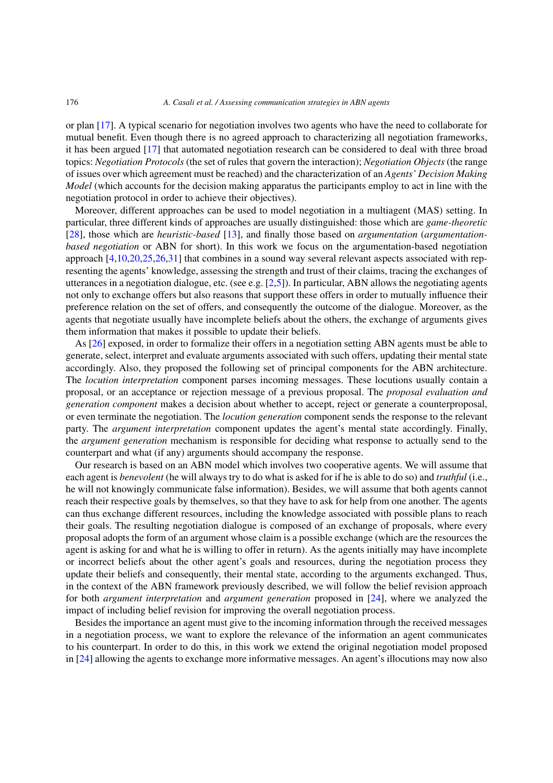or plan [\[17\]](#page-24-0). A typical scenario for negotiation involves two agents who have the need to collaborate for mutual benefit. Even though there is no agreed approach to characterizing all negotiation frameworks, it has been argued [\[17](#page-24-0)] that automated negotiation research can be considered to deal with three broad topics: *Negotiation Protocols* (the set of rules that govern the interaction); *Negotiation Objects* (the range of issues over which agreement must be reached) and the characterization of an *Agents' Decision Making Model* (which accounts for the decision making apparatus the participants employ to act in line with the negotiation protocol in order to achieve their objectives).

Moreover, different approaches can be used to model negotiation in a multiagent (MAS) setting. In particular, three different kinds of approaches are usually distinguished: those which are *game-theoretic* [\[28](#page-25-0)], those which are *heuristic-based* [\[13](#page-24-1)], and finally those based on *argumentation* (*argumentationbased negotiation* or ABN for short). In this work we focus on the argumentation-based negotiation approach [\[4](#page-24-2)[,10](#page-24-3)[,20](#page-24-4)[,25](#page-25-1)[,26](#page-25-2)[,31\]](#page-25-3) that combines in a sound way several relevant aspects associated with representing the agents' knowledge, assessing the strength and trust of their claims, tracing the exchanges of utterances in a negotiation dialogue, etc. (see e.g. [\[2](#page-24-5)[,5\]](#page-24-6)). In particular, ABN allows the negotiating agents not only to exchange offers but also reasons that support these offers in order to mutually influence their preference relation on the set of offers, and consequently the outcome of the dialogue. Moreover, as the agents that negotiate usually have incomplete beliefs about the others, the exchange of arguments gives them information that makes it possible to update their beliefs.

As [\[26](#page-25-2)] exposed, in order to formalize their offers in a negotiation setting ABN agents must be able to generate, select, interpret and evaluate arguments associated with such offers, updating their mental state accordingly. Also, they proposed the following set of principal components for the ABN architecture. The *locution interpretation* component parses incoming messages. These locutions usually contain a proposal, or an acceptance or rejection message of a previous proposal. The *proposal evaluation and generation component* makes a decision about whether to accept, reject or generate a counterproposal, or even terminate the negotiation. The *locution generation* component sends the response to the relevant party. The *argument interpretation* component updates the agent's mental state accordingly. Finally, the *argument generation* mechanism is responsible for deciding what response to actually send to the counterpart and what (if any) arguments should accompany the response.

Our research is based on an ABN model which involves two cooperative agents. We will assume that each agent is *benevolent* (he will always try to do what is asked for if he is able to do so) and *truthful* (i.e., he will not knowingly communicate false information). Besides, we will assume that both agents cannot reach their respective goals by themselves, so that they have to ask for help from one another. The agents can thus exchange different resources, including the knowledge associated with possible plans to reach their goals. The resulting negotiation dialogue is composed of an exchange of proposals, where every proposal adopts the form of an argument whose claim is a possible exchange (which are the resources the agent is asking for and what he is willing to offer in return). As the agents initially may have incomplete or incorrect beliefs about the other agent's goals and resources, during the negotiation process they update their beliefs and consequently, their mental state, according to the arguments exchanged. Thus, in the context of the ABN framework previously described, we will follow the belief revision approach for both *argument interpretation* and *argument generation* proposed in [\[24\]](#page-25-4), where we analyzed the impact of including belief revision for improving the overall negotiation process.

Besides the importance an agent must give to the incoming information through the received messages in a negotiation process, we want to explore the relevance of the information an agent communicates to his counterpart. In order to do this, in this work we extend the original negotiation model proposed in [\[24](#page-25-4)] allowing the agents to exchange more informative messages. An agent's illocutions may now also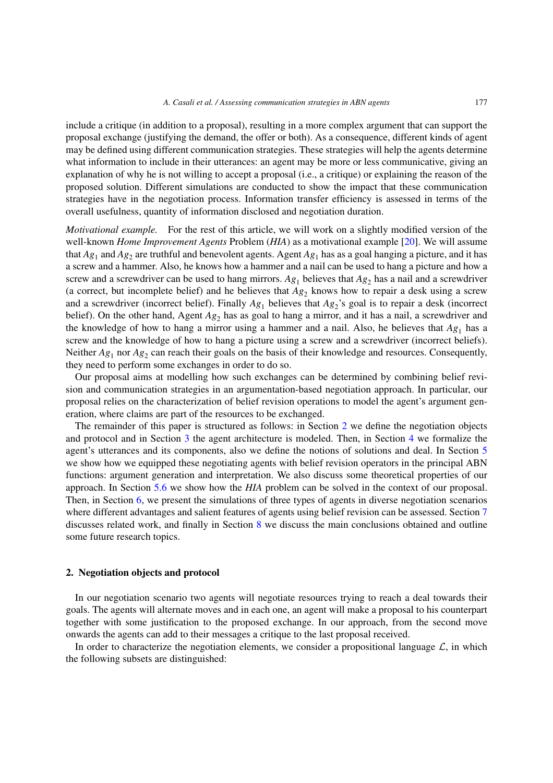include a critique (in addition to a proposal), resulting in a more complex argument that can support the proposal exchange (justifying the demand, the offer or both). As a consequence, different kinds of agent may be defined using different communication strategies. These strategies will help the agents determine what information to include in their utterances: an agent may be more or less communicative, giving an explanation of why he is not willing to accept a proposal (i.e., a critique) or explaining the reason of the proposed solution. Different simulations are conducted to show the impact that these communication strategies have in the negotiation process. Information transfer efficiency is assessed in terms of the overall usefulness, quantity of information disclosed and negotiation duration.

*Motivational example.* For the rest of this article, we will work on a slightly modified version of the well-known *Home Improvement Agents* Problem (*HIA*) as a motivational example [\[20](#page-24-4)]. We will assume that  $Ag_1$  and  $Ag_2$  are truthful and benevolent agents. Agent  $Ag_1$  has as a goal hanging a picture, and it has a screw and a hammer. Also, he knows how a hammer and a nail can be used to hang a picture and how a screw and a screwdriver can be used to hang mirrors.  $Ag_1$  believes that  $Ag_2$  has a nail and a screwdriver (a correct, but incomplete belief) and he believes that  $Ag_2$  knows how to repair a desk using a screw and a screwdriver (incorrect belief). Finally  $Ag_1$  believes that  $Ag_2$ 's goal is to repair a desk (incorrect belief). On the other hand, Agent *Ag*<sup>2</sup> has as goal to hang a mirror, and it has a nail, a screwdriver and the knowledge of how to hang a mirror using a hammer and a nail. Also, he believes that  $A_{g_1}$  has a screw and the knowledge of how to hang a picture using a screw and a screwdriver (incorrect beliefs). Neither  $Ag_1$  nor  $Ag_2$  can reach their goals on the basis of their knowledge and resources. Consequently, they need to perform some exchanges in order to do so.

Our proposal aims at modelling how such exchanges can be determined by combining belief revision and communication strategies in an argumentation-based negotiation approach. In particular, our proposal relies on the characterization of belief revision operations to model the agent's argument generation, where claims are part of the resources to be exchanged.

The remainder of this paper is structured as follows: in Section [2](#page-2-0) we define the negotiation objects and protocol and in Section [3](#page-3-0) the agent architecture is modeled. Then, in Section [4](#page-5-0) we formalize the agent's utterances and its components, also we define the notions of solutions and deal. In Section [5](#page-10-0) we show how we equipped these negotiating agents with belief revision operators in the principal ABN functions: argument generation and interpretation. We also discuss some theoretical properties of our approach. In Section [5.6](#page-16-0) we show how the *HIA* problem can be solved in the context of our proposal. Then, in Section [6,](#page-17-0) we present the simulations of three types of agents in diverse negotiation scenarios where different advantages and salient features of agents using belief revision can be assessed. Section [7](#page-21-0) discusses related work, and finally in Section [8](#page-22-0) we discuss the main conclusions obtained and outline some future research topics.

## <span id="page-2-0"></span>**2. Negotiation objects and protocol**

In our negotiation scenario two agents will negotiate resources trying to reach a deal towards their goals. The agents will alternate moves and in each one, an agent will make a proposal to his counterpart together with some justification to the proposed exchange. In our approach, from the second move onwards the agents can add to their messages a critique to the last proposal received.

In order to characterize the negotiation elements, we consider a propositional language  $\mathcal{L}$ , in which the following subsets are distinguished: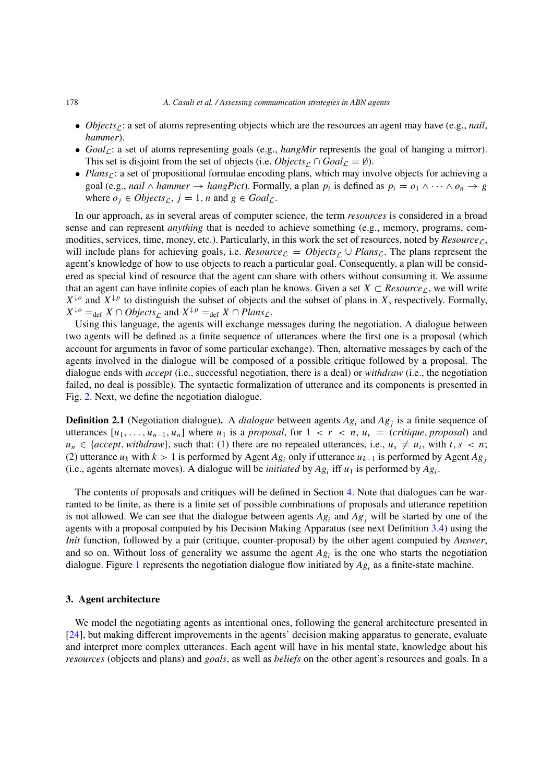#### 178 *A. Casali et al. / Assessing communication strategies in ABN agents*

- *Objects<sub>c</sub>*: a set of atoms representing objects which are the resources an agent may have (e.g., *nail*, *hammer*).
- $Goal_{\mathcal{L}}$ : a set of atoms representing goals (e.g., *hangMir* represents the goal of hanging a mirror). This set is disjoint from the set of objects (i.e. *Objects*<sub> $\cap$ </sub> ∩  $Goal_{\mathcal{L}} = \emptyset$ ).
- *Plans<sub>C</sub>*: a set of propositional formulae encoding plans, which may involve objects for achieving a goal (e.g., *nail*  $\land$  *hammer*  $\rightarrow$  *hangPict*). Formally, a plan  $p_i$  is defined as  $p_i = o_1 \land \cdots \land o_n \rightarrow g$ where  $o_j \in Objects_{\Gamma}$ ,  $j = 1$ ,  $n$  and  $g \in Goal_{\mathcal{L}}$ .

In our approach, as in several areas of computer science, the term *resources* is considered in a broad sense and can represent *anything* that is needed to achieve something (e.g., memory, programs, commodities, services, time, money, etc.). Particularly, in this work the set of resources, noted by  $Resource<sub>C</sub>$ , will include plans for achieving goals, i.e. *Resource*<sub>L</sub> =  $Objects<sub>C</sub> \cup Plans<sub>L</sub>$ . The plans represent the agent's knowledge of how to use objects to reach a particular goal. Consequently, a plan will be considered as special kind of resource that the agent can share with others without consuming it. We assume that an agent can have infinite copies of each plan he knows. Given a set  $X \subset Resource_{\mathcal{L}}$ , we will write  $X^{\downarrow o}$  and  $X^{\downarrow p}$  to distinguish the subset of objects and the subset of plans in *X*, respectively. Formally,  $X^{\downarrow o} =_{\text{def}} X \cap Objects_{\text{C}}$  and  $X^{\downarrow p} =_{\text{def}} X \cap Plans_{\text{C}}$ .

Using this language, the agents will exchange messages during the negotiation. A dialogue between two agents will be defined as a finite sequence of utterances where the first one is a proposal (which account for arguments in favor of some particular exchange). Then, alternative messages by each of the agents involved in the dialogue will be composed of a possible critique followed by a proposal. The dialogue ends with *accept* (i.e., successful negotiation, there is a deal) or *withdraw* (i.e., the negotiation failed, no deal is possible). The syntactic formalization of utterance and its components is presented in Fig. [2.](#page-6-0) Next, we define the negotiation dialogue.

<span id="page-3-1"></span>**Definition 2.1** (Negotiation dialogue). A *dialogue* between agents  $Ag_i$  and  $Ag_j$  is a finite sequence of utterances  $[u_1, \ldots, u_{n-1}, u_n]$  where  $u_1$  is a *proposal*, for  $1 < r < n$ ,  $u_r = (critique, proposal)$  and  $u_n \in \{accept, \text{with} \, \text{draw}\},$  such that: (1) there are no repeated utterances, i.e.,  $u_s \neq u_t$ , with  $t, s < n$ ; (2) utterance  $u_k$  with  $k > 1$  is performed by Agent  $Ag_i$  only if utterance  $u_{k-1}$  is performed by Agent  $Ag_i$ (i.e., agents alternate moves). A dialogue will be *initiated* by  $Ag_i$  iff  $u_1$  is performed by  $Ag_i$ .

The contents of proposals and critiques will be defined in Section [4.](#page-5-0) Note that dialogues can be warranted to be finite, as there is a finite set of possible combinations of proposals and utterance repetition is not allowed. We can see that the dialogue between agents *Ag<sup>i</sup>* and *Ag<sup>j</sup>* will be started by one of the agents with a proposal computed by his Decision Making Apparatus (see next Definition [3.4\)](#page-5-1) using the *Init* function, followed by a pair (critique, counter-proposal) by the other agent computed by *Answer*, and so on. Without loss of generality we assume the agent  $Ag<sub>i</sub>$  is the one who starts the negotiation dialogue. Figure [1](#page-4-0) represents the negotiation dialogue flow initiated by *Ag<sup>i</sup>* as a finite-state machine.

# <span id="page-3-0"></span>**3. Agent architecture**

We model the negotiating agents as intentional ones, following the general architecture presented in [\[24](#page-25-4)], but making different improvements in the agents' decision making apparatus to generate, evaluate and interpret more complex utterances. Each agent will have in his mental state, knowledge about his *resources* (objects and plans) and *goals*, as well as *beliefs* on the other agent's resources and goals. In a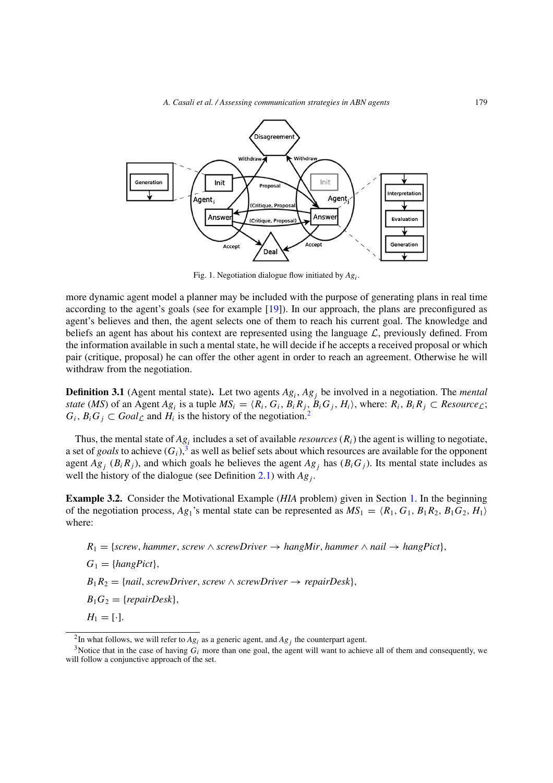

<span id="page-4-0"></span>Fig. 1. Negotiation dialogue flow initiated by *Agi*.

more dynamic agent model a planner may be included with the purpose of generating plans in real time according to the agent's goals (see for example [\[19\]](#page-24-7)). In our approach, the plans are preconfigured as agent's believes and then, the agent selects one of them to reach his current goal. The knowledge and beliefs an agent has about his context are represented using the language  $\mathcal{L}$ , previously defined. From the information available in such a mental state, he will decide if he accepts a received proposal or which pair (critique, proposal) he can offer the other agent in order to reach an agreement. Otherwise he will withdraw from the negotiation.

<span id="page-4-3"></span>**Definition 3.1** (Agent mental state)**.** Let two agents *Agi*, *Ag<sup>j</sup>* be involved in a negotiation. The *mental state* (*MS*) of an Agent  $Ag_i$  is a tuple  $MS_i = \langle R_i, G_i, B_iR_j, B_iG_j, H_i \rangle$ , where:  $R_i, B_iR_j \subset Resource_{\mathcal{L}}$ ;  $G_i$ ,  $B_i G_j \subset \text{Goal}_\mathcal{L}$  and  $H_i$  is the history of the negotiation.<sup>2</sup>

Thus, the mental state of  $Ag_i$  includes a set of available *resources*  $(R_i)$  the agent is willing to negotiate, a set of *goals* to achieve  $(G_i)$ ,<sup>3</sup> as well as belief sets about which resources are available for the opponent agent  $Ag_i$  ( $B_iR_j$ ), and which goals he believes the agent  $Ag_j$  has  $(B_iG_j)$ . Its mental state includes as well the history of the dialogue (see Definition [2.1\)](#page-3-1) with  $Ag_i$ .

<span id="page-4-4"></span>**Example 3.2.** Consider the Motivational Example (*HIA* problem) given in Section [1.](#page-0-4) In the beginning of the negotiation process,  $Ag_1$ 's mental state can be represented as  $MS_1 = \langle R_1, G_1, B_1R_2, B_1G_2, H_1 \rangle$ where:

 $R_1 = \{screw, hammer, screw \land screwDriver \rightarrow hangMir, hammer \land nail \rightarrow hangPict\}$  $G_1 = \{hangPict\},\$  $B_1R_2 = \{mail, screwDriver, screw \land screwDriver \rightarrow repairDesk\},\$  $B_1G_2 = \{repairDesk\},\$  $H_1 = [\cdot]$ .

<span id="page-4-1"></span><sup>&</sup>lt;sup>2</sup>In what follows, we will refer to  $Ag_i$  as a generic agent, and  $Ag_i$  the counterpart agent.

<span id="page-4-2"></span><sup>&</sup>lt;sup>3</sup>Notice that in the case of having  $G_i$  more than one goal, the agent will want to achieve all of them and consequently, we will follow a conjunctive approach of the set.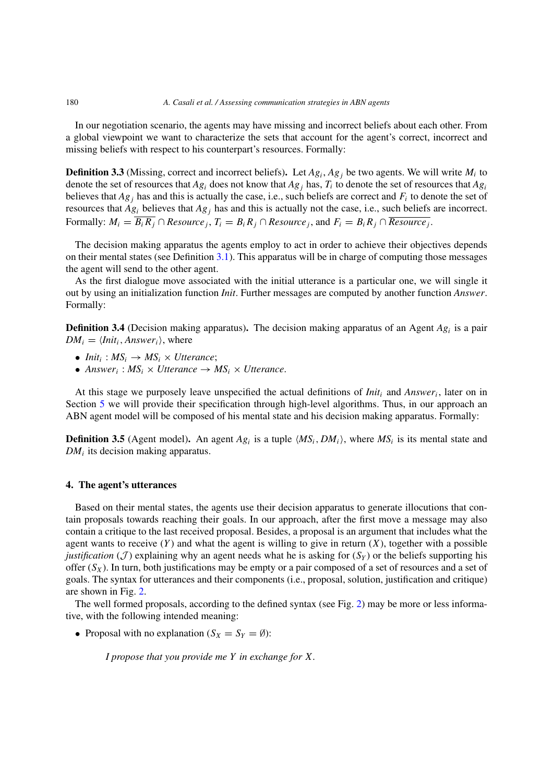In our negotiation scenario, the agents may have missing and incorrect beliefs about each other. From a global viewpoint we want to characterize the sets that account for the agent's correct, incorrect and missing beliefs with respect to his counterpart's resources. Formally:

<span id="page-5-2"></span>**Definition 3.3** (Missing, correct and incorrect beliefs). Let  $Ag_i$ ,  $Ag_j$  be two agents. We will write  $M_i$  to denote the set of resources that  $Ag_i$  does not know that  $Ag_j$  has,  $T_i$  to denote the set of resources that  $Ag_i$ believes that  $Ag_j$  has and this is actually the case, i.e., such beliefs are correct and  $F_i$  to denote the set of resources that  $Ag_i$  believes that  $Ag_j$  has and this is actually not the case, i.e., such beliefs are incorrect. Formally:  $M_i = \overline{B_i R_j} \cap Resource_j$ ,  $T_i = B_i R_j \cap Resource_j$ , and  $F_i = B_i R_j \cap Resource_j$ .

The decision making apparatus the agents employ to act in order to achieve their objectives depends on their mental states (see Definition  $3.1$ ). This apparatus will be in charge of computing those messages the agent will send to the other agent.

As the first dialogue move associated with the initial utterance is a particular one, we will single it out by using an initialization function *Init*. Further messages are computed by another function *Answer*. Formally:

<span id="page-5-1"></span>**Definition 3.4** (Decision making apparatus). The decision making apparatus of an Agent *Ag<sub>i</sub>* is a pair  $DM_i = \langle Init_i, Answer_i \rangle$ , where

- *Init<sub>i</sub>* :  $MS_i \rightarrow MS_i \times Uterance$ ;
- *Answer*<sub>i</sub> :  $MS_i \times U$ tterance  $\rightarrow MS_i \times U$ tterance.

At this stage we purposely leave unspecified the actual definitions of *Init<sup>i</sup>* and *Answeri*, later on in Section [5](#page-10-0) we will provide their specification through high-level algorithms. Thus, in our approach an ABN agent model will be composed of his mental state and his decision making apparatus. Formally:

**Definition 3.5** (Agent model). An agent  $Ag_i$  is a tuple  $\langle MS_i, DM_i \rangle$ , where  $MS_i$  is its mental state and *DM<sup>i</sup>* its decision making apparatus.

# <span id="page-5-0"></span>**4. The agent's utterances**

Based on their mental states, the agents use their decision apparatus to generate illocutions that contain proposals towards reaching their goals. In our approach, after the first move a message may also contain a critique to the last received proposal. Besides, a proposal is an argument that includes what the agent wants to receive  $(Y)$  and what the agent is willing to give in return  $(X)$ , together with a possible *justification* (*J*) explaining why an agent needs what he is asking for  $(S_Y)$  or the beliefs supporting his offer  $(S_X)$ . In turn, both justifications may be empty or a pair composed of a set of resources and a set of goals. The syntax for utterances and their components (i.e., proposal, solution, justification and critique) are shown in Fig. [2.](#page-6-0)

The well formed proposals, according to the defined syntax (see Fig. [2\)](#page-6-0) may be more or less informative, with the following intended meaning:

• Proposal with no explanation  $(S_X = S_Y = \emptyset)$ :

*I propose that you provide me Y in exchange for X.*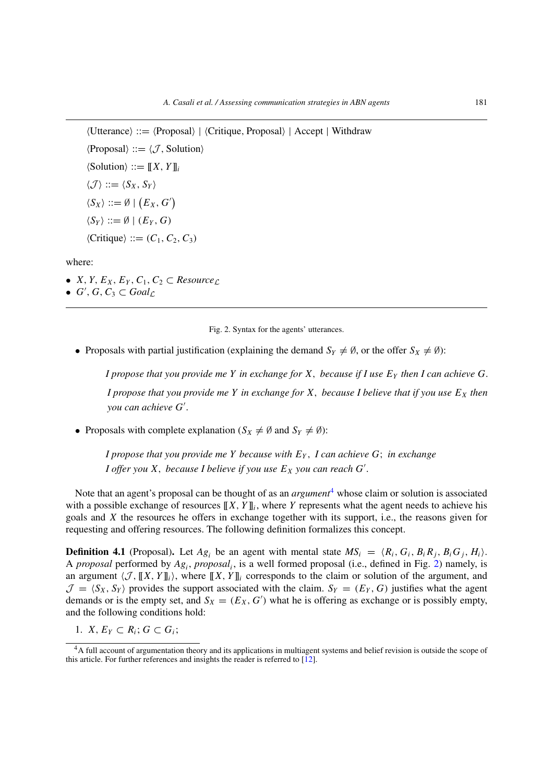Utterance ::= Proposal|Critique*,* Proposal | Accept | Withdraw  $\langle$ Proposal $\rangle ::= \langle \mathcal{J},$  Solution $\rangle$  $\langle$ Solution $\rangle ::= [[X, Y]]_i$  $\langle \mathcal{J} \rangle ::= \langle S_X, S_Y \rangle$  $\langle S_X \rangle ::= \emptyset \mid (E_X, G')$  $\langle S_Y \rangle ::= \emptyset \mid (E_Y, G)$  $\langle$ Critique $\rangle ::= (C_1, C_2, C_3)$ 

where:

- *X*, *Y*, *E<sub>X</sub>*, *E<sub>Y</sub>*, *C*<sub>1</sub>, *C*<sub>2</sub>  $\subset$  *Resource*<sub>L</sub>
- $G'$ ,  $G$ ,  $C_3 \subset \text{Goal}_\mathcal{L}$

<span id="page-6-0"></span>Fig. 2. Syntax for the agents' utterances.

• Proposals with partial justification (explaining the demand  $S_Y \neq \emptyset$ , or the offer  $S_X \neq \emptyset$ ):

*I propose that you provide me Y in exchange for X*, *because if I use*  $E<sub>Y</sub>$  *then I can achieve G*. *I propose that you provide me Y in exchange for X, because I believe that if you use*  $E_X$  *then you can achieve G .*

• Proposals with complete explanation  $(S_X \neq \emptyset)$  and  $S_Y \neq \emptyset$ ):

*I propose that you provide me Y because with EY , I can achieve G*; *in exchange I* offer you  $X$ , because I believe if you use  $E_X$  you can reach  $G'$ .

Note that an agent's proposal can be thought of as an *argument*[4](#page-6-1) whose claim or solution is associated with a possible exchange of resources  $[[X, Y]]_i$ , where *Y* represents what the agent needs to achieve his goals and *X* the resources he offers in exchange together with its support, i.e., the reasons given for requesting and offering resources. The following definition formalizes this concept.

**Definition 4.1** (Proposal). Let  $Ag_i$  be an agent with mental state  $MS_i = \langle R_i, G_i, B_iR_j, B_iG_j, H_i \rangle$ . A *proposal* performed by *Agi*, *proposali*, is a well formed proposal (i.e., defined in Fig. [2\)](#page-6-0) namely, is an argument  $\langle \mathcal{J}, [X, Y] \rangle$ , where  $\langle [X, Y] \rangle$  corresponds to the claim or solution of the argument, and  $\mathcal{J} = \langle S_X, S_Y \rangle$  provides the support associated with the claim.  $S_Y = (E_Y, G)$  justifies what the agent demands or is the empty set, and  $S_X = (E_X, G')$  what he is offering as exchange or is possibly empty, and the following conditions hold:

1.  $X, E_Y \subset R_i$ ;  $G \subset G_i$ ;

<span id="page-6-1"></span><sup>&</sup>lt;sup>4</sup>A full account of argumentation theory and its applications in multiagent systems and belief revision is outside the scope of this article. For further references and insights the reader is referred to [\[12](#page-24-8)].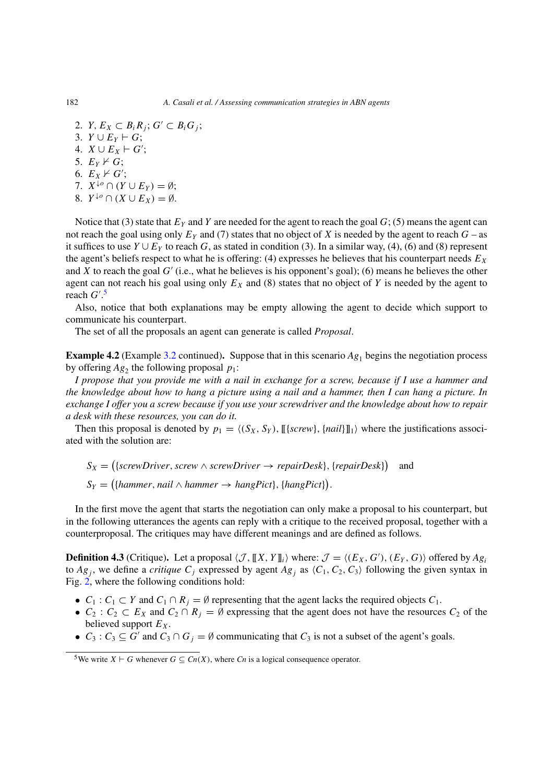2. *Y*,  $E_X \subset B_i R_j$ ;  $G' \subset B_i G_j$ ; 3. *Y* ∪  $E_Y$   $\vdash$  *G*; 4. *X* ∪ *E<sub>X</sub>*  $\vdash$  *G*<sup>'</sup>; 5.  $E_Y \nvdash G;$ 6.  $E_X \nvdash G';$ 7.  $X^{\downarrow o} \cap (Y \cup E_Y) = \emptyset;$ 

8. 
$$
Y^{\downarrow o} \cap (X \cup E_X) = \emptyset
$$
.

Notice that (3) state that  $E_Y$  and *Y* are needed for the agent to reach the goal  $G$ ; (5) means the agent can not reach the goal using only  $E_Y$  and (7) states that no object of *X* is needed by the agent to reach  $G$  – as it suffices to use  $Y \cup E_Y$  to reach *G*, as stated in condition (3). In a similar way, (4), (6) and (8) represent the agent's beliefs respect to what he is offering: (4) expresses he believes that his counterpart needs  $E_X$ and *X* to reach the goal  $G'$  (i.e., what he believes is his opponent's goal); (6) means he believes the other agent can not reach his goal using only  $E<sub>X</sub>$  and (8) states that no object of *Y* is needed by the agent to reach *G* . [5](#page-7-0)

Also, notice that both explanations may be empty allowing the agent to decide which support to communicate his counterpart.

The set of all the proposals an agent can generate is called *Proposal*.

<span id="page-7-1"></span>**Example 4.2** (Example [3.2](#page-4-4) continued). Suppose that in this scenario  $Ag_1$  begins the negotiation process by offering  $Ag_2$  the following proposal  $p_1$ :

*I propose that you provide me with a nail in exchange for a screw, because if I use a hammer and the knowledge about how to hang a picture using a nail and a hammer, then I can hang a picture. In exchange I offer you a screw because if you use your screwdriver and the knowledge about how to repair a desk with these resources, you can do it.*

Then this proposal is denoted by  $p_1 = \langle (S_X, S_Y), [[\{screw\}, \{nail\}]]_1 \rangle$  where the justifications associated with the solution are:

$$
S_X = (\{screwDriver, screw \land screwDriver \rightarrow repairDesk\}, \{repairDesk\})
$$
 and  
 $S_Y = (\{hammer, nail \land hammer \rightarrow hangPict\}, \{hangPict\}).$ 

In the first move the agent that starts the negotiation can only make a proposal to his counterpart, but in the following utterances the agents can reply with a critique to the received proposal, together with a counterproposal. The critiques may have different meanings and are defined as follows.

**Definition 4.3** (Critique). Let a proposal  $\langle \mathcal{J}, [X, Y]_i \rangle$  where:  $\mathcal{J} = \langle (E_X, G'), (E_Y, G) \rangle$  offered by  $Ag_i$ to  $Ag_j$ , we define a *critique*  $C_j$  expressed by agent  $Ag_j$  as  $\langle C_1, C_2, C_3 \rangle$  following the given syntax in Fig. [2,](#page-6-0) where the following conditions hold:

- $C_1$ :  $C_1 \subset Y$  and  $C_1 \cap R_j = \emptyset$  representing that the agent lacks the required objects  $C_1$ .
- $C_2$ :  $C_2 \subset E_X$  and  $C_2 \cap R_j = \emptyset$  expressing that the agent does not have the resources  $C_2$  of the believed support  $E_X$ .
- $C_3$ :  $C_3 \subseteq G'$  and  $C_3 \cap G_j = \emptyset$  communicating that  $C_3$  is not a subset of the agent's goals.

<span id="page-7-0"></span><sup>&</sup>lt;sup>5</sup>We write *X*  $\vdash$  *G* whenever *G*  $\subseteq$  *Cn*(*X*), where *Cn* is a logical consequence operator.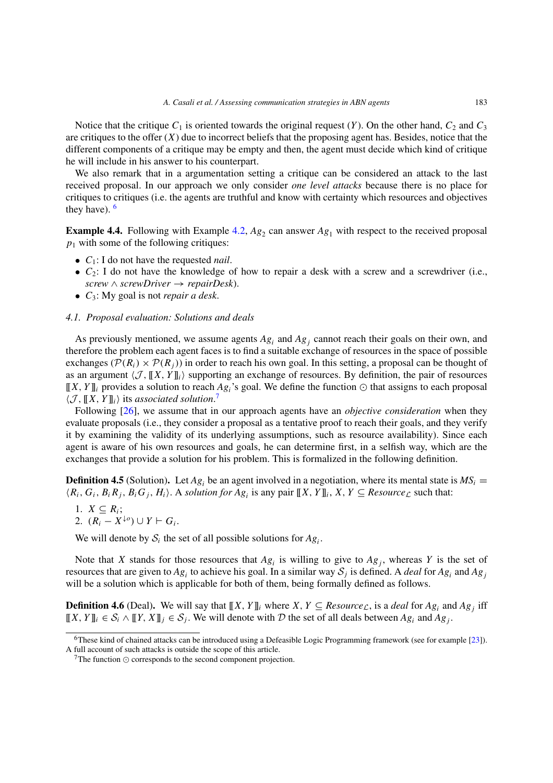Notice that the critique  $C_1$  is oriented towards the original request  $(Y)$ . On the other hand,  $C_2$  and  $C_3$ are critiques to the offer  $(X)$  due to incorrect beliefs that the proposing agent has. Besides, notice that the different components of a critique may be empty and then, the agent must decide which kind of critique he will include in his answer to his counterpart.

We also remark that in a argumentation setting a critique can be considered an attack to the last received proposal. In our approach we only consider *one level attacks* because there is no place for critiques to critiques (i.e. the agents are truthful and know with certainty which resources and objectives they have).  $6$ 

**Example 4.4.** Following with Example [4.2,](#page-7-1)  $Ag_2$  can answer  $Ag_1$  with respect to the received proposal  $p_1$  with some of the following critiques:

- *C*1: I do not have the requested *nail*.
- $\bullet$   $C_2$ : I do not have the knowledge of how to repair a desk with a screw and a screwdriver (i.e.,  $screw \wedge screwDriver \rightarrow repairDesk$ .
- *C*3: My goal is not *repair a desk*.

## *4.1. Proposal evaluation: Solutions and deals*

As previously mentioned, we assume agents  $Ag_i$  and  $Ag_j$  cannot reach their goals on their own, and therefore the problem each agent faces is to find a suitable exchange of resources in the space of possible exchanges ( $\mathcal{P}(R_i) \times \mathcal{P}(R_i)$ ) in order to reach his own goal. In this setting, a proposal can be thought of as an argument  $\langle \mathcal{J}, ||X, Y||_i \rangle$  supporting an exchange of resources. By definition, the pair of resources  $[[X, Y]]$ *i* provides a solution to reach *Ag<sub>i</sub>*'s goal. We define the function  $\odot$  that assigns to each proposal  $\langle \mathcal{J}, \llbracket X, Y \rrbracket_i \rangle$  its *associated solution*.<sup>[7](#page-8-1)</sup>

Following [\[26\]](#page-25-2), we assume that in our approach agents have an *objective consideration* when they evaluate proposals (i.e., they consider a proposal as a tentative proof to reach their goals, and they verify it by examining the validity of its underlying assumptions, such as resource availability). Since each agent is aware of his own resources and goals, he can determine first, in a selfish way, which are the exchanges that provide a solution for his problem. This is formalized in the following definition.

<span id="page-8-2"></span>**Definition 4.5** (Solution). Let  $Ag_i$  be an agent involved in a negotiation, where its mental state is  $MS_i$  =  $(R_i, G_i, B_i, R_j, B_i, H_i)$ . A *solution for Ag<sub>i</sub>* is any pair  $[[X, Y]]_i$ , *X*, *Y*  $\subseteq$  *Resource*<sub> $\mathcal{L}$  such that:</sub>

$$
1. X \subseteq R_i;
$$

2.  $(R_i - X^{\downarrow o}) \cup Y \vdash G_i$ .

We will denote by  $S_i$  the set of all possible solutions for  $Ag_i$ .

Note that *X* stands for those resources that  $Ag_i$  is willing to give to  $Ag_i$ , whereas *Y* is the set of resources that are given to  $Ag_i$  to achieve his goal. In a similar way  $S_i$  is defined. A *deal* for  $Ag_i$  and  $Ag_j$ will be a solution which is applicable for both of them, being formally defined as follows.

**Definition 4.6** (Deal). We will say that  $[[X, Y]]_i$  where  $X, Y \subseteq Resource_{\mathcal{L}}$ , is a *deal* for  $Ag_i$  and  $Ag_j$  iff  $[[X, Y]]_i \in S_i \wedge [[Y, X]]_i \in S_j$ . We will denote with D the set of all deals between  $Ag_i$  and  $Ag_j$ .

<span id="page-8-0"></span><sup>6</sup>These kind of chained attacks can be introduced using a Defeasible Logic Programming framework (see for example [\[23](#page-25-5)]). A full account of such attacks is outside the scope of this article.

<span id="page-8-1"></span> $7$ The function  $\odot$  corresponds to the second component projection.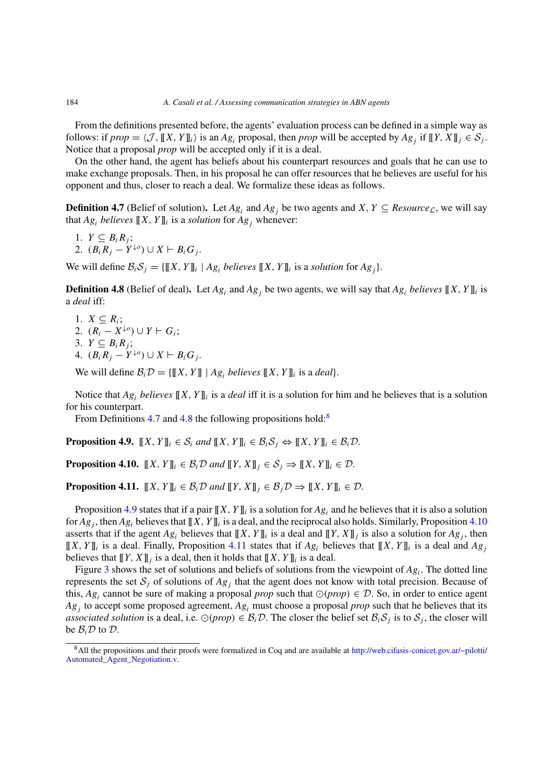From the definitions presented before, the agents' evaluation process can be defined in a simple way as follows: if  $prop = \langle \mathcal{J}, [[X, Y]]_i \rangle$  is an  $Ag_i$  proposal, then *prop* will be accepted by  $Ag_i$  if  $[[Y, X]]_i \in S_i$ . Notice that a proposal *prop* will be accepted only if it is a deal.

On the other hand, the agent has beliefs about his counterpart resources and goals that he can use to make exchange proposals. Then, in his proposal he can offer resources that he believes are useful for his opponent and thus, closer to reach a deal. We formalize these ideas as follows.

<span id="page-9-0"></span>**Definition 4.7** (Belief of solution). Let  $Ag_i$  and  $Ag_j$  be two agents and *X*,  $Y \subseteq Resource_{\mathcal{L}}$ , we will say that  $Ag_i$  *believes*  $[[X, Y]]_i$  is a *solution* for  $Ag_i$  whenever:

1. 
$$
Y \subseteq B_i R_j
$$
;  
2.  $(B_i R_j - Y^{\downarrow o}) \cup X \vdash B_i G_j$ .

We will define  $\mathcal{B}_i \mathcal{S}_j = \{[[X, Y]]_i \mid Ag_i \text{ believes } [[X, Y]]_i \text{ is a solution for } Ag_j\}.$ 

<span id="page-9-1"></span>**Definition 4.8** (Belief of deal). Let  $Ag_i$  and  $Ag_j$  be two agents, we will say that  $Ag_i$  *believes*  $[[X, Y]]_i$  is a *deal* iff:

- 1.  $X \subseteq R_i$ ; 2.  $(R_i - X^{\downarrow o}) \cup Y \vdash G_i;$
- 3.  $Y \subseteq B_i R_j$ ;
- 4.  $(B_i R_j Y^{\downarrow o}) \cup X \vdash B_i G_j$ .

We will define  $\mathcal{B}_i \mathcal{D} = \{[[X, Y]] \mid Ag_i \text{ believes } [[X, Y]]_i \text{ is a deal}\}.$ 

Notice that  $Ag_i$  *believes*  $[[X, Y]]_i$  is a *deal* iff it is a solution for him and he believes that is a solution for his counterpart.

From Definitions [4.7](#page-9-0) and [4.8](#page-9-1) the following propositions hold:<sup>[8](#page-9-2)</sup>

<span id="page-9-3"></span>**Proposition 4.9.**  $[[X, Y]]_i \in S_i$  *and*  $[[X, Y]]_i \in B_iS_i \Leftrightarrow [[X, Y]]_i \in B_iD$ .

<span id="page-9-4"></span>**Proposition 4.10.**  $[[X, Y]]_i \in \mathcal{B}_i \mathcal{D}$  *and*  $[[Y, X]]_i \in \mathcal{S}_i \Rightarrow [[X, Y]]_i \in \mathcal{D}$ .

<span id="page-9-5"></span>**Proposition 4.11.**  $[[X, Y]]_i \in \mathcal{B}_i \mathcal{D}$  *and*  $[[Y, X]]_i \in \mathcal{B}_i \mathcal{D} \Rightarrow [[X, Y]]_i \in \mathcal{D}$ .

Proposition [4.9](#page-9-3) states that if a pair  $[[X, Y]]_i$  is a solution for  $Ag_i$  and he believes that it is also a solution for  $Ag_i$ , then  $Ag_i$  believes that  $[[X, Y]]_i$  is a deal, and the reciprocal also holds. Similarly, Proposition [4.10](#page-9-4) asserts that if the agent  $Ag_i$  believes that  $[[X, Y]]_i$  is a deal and  $[[Y, X]]_i$  is also a solution for  $Ag_i$ , then  $[[X, Y]]_i$  is a deal. Finally, Proposition [4.11](#page-9-5) states that if  $Ag_i$  believes that  $[[X, Y]]_i$  is a deal and  $Ag_i$ believes that  $[[Y, X]]_i$  is a deal, then it holds that  $[[X, Y]]_i$  is a deal.

Figure [3](#page-10-1) shows the set of solutions and beliefs of solutions from the viewpoint of  $Ag_i$ . The dotted line represents the set  $S_j$  of solutions of  $Ag_j$  that the agent does not know with total precision. Because of this,  $Ag_i$  cannot be sure of making a proposal *prop* such that  $\odot (prop) \in \mathcal{D}$ . So, in order to entice agent *Ag<sup>j</sup>* to accept some proposed agreement, *Ag<sup>i</sup>* must choose a proposal *prop* such that he believes that its *associated solution* is a deal, i.e.  $\odot (prop) \in \mathcal{B}_i \mathcal{D}$ . The closer the belief set  $\mathcal{B}_i \mathcal{S}_j$  is to  $\mathcal{S}_j$ , the closer will be  $\mathcal{B}_i \mathcal{D}$  to  $\mathcal{D}$ .

<span id="page-9-2"></span><sup>8</sup>All the propositions and their proofs were formalized in Coq and are available at [http://web.cifasis-conicet.gov.ar/~pilotti/](http://web.cifasis-conicet.gov.ar/~pilotti/Automated_Agent_Negotiation.v) [Automated\\_Agent\\_Negotiation.v.](http://web.cifasis-conicet.gov.ar/~pilotti/Automated_Agent_Negotiation.v)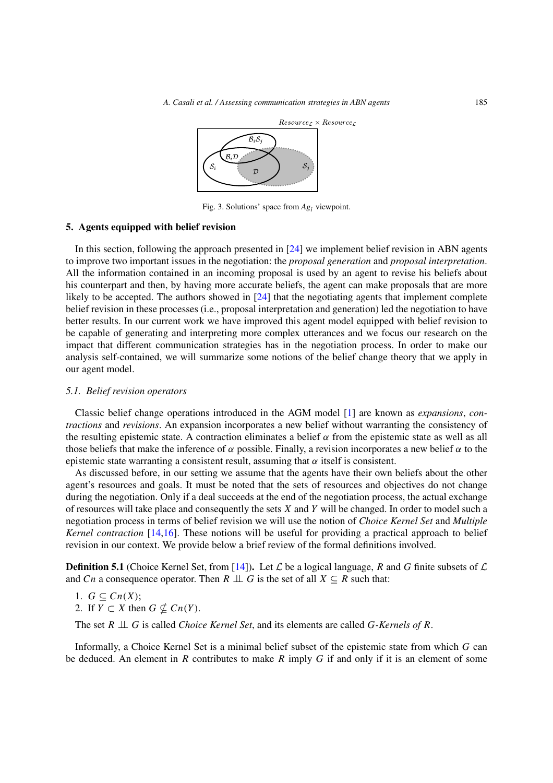

<span id="page-10-1"></span>Fig. 3. Solutions' space from *Ag<sup>i</sup>* viewpoint.

# <span id="page-10-0"></span>**5. Agents equipped with belief revision**

In this section, following the approach presented in [\[24](#page-25-4)] we implement belief revision in ABN agents to improve two important issues in the negotiation: the *proposal generation* and *proposal interpretation*. All the information contained in an incoming proposal is used by an agent to revise his beliefs about his counterpart and then, by having more accurate beliefs, the agent can make proposals that are more likely to be accepted. The authors showed in [\[24](#page-25-4)] that the negotiating agents that implement complete belief revision in these processes (i.e., proposal interpretation and generation) led the negotiation to have better results. In our current work we have improved this agent model equipped with belief revision to be capable of generating and interpreting more complex utterances and we focus our research on the impact that different communication strategies has in the negotiation process. In order to make our analysis self-contained, we will summarize some notions of the belief change theory that we apply in our agent model.

# *5.1. Belief revision operators*

Classic belief change operations introduced in the AGM model [\[1\]](#page-24-9) are known as *expansions*, *contractions* and *revisions*. An expansion incorporates a new belief without warranting the consistency of the resulting epistemic state. A contraction eliminates a belief  $\alpha$  from the epistemic state as well as all those beliefs that make the inference of  $\alpha$  possible. Finally, a revision incorporates a new belief  $\alpha$  to the epistemic state warranting a consistent result, assuming that  $\alpha$  itself is consistent.

As discussed before, in our setting we assume that the agents have their own beliefs about the other agent's resources and goals. It must be noted that the sets of resources and objectives do not change during the negotiation. Only if a deal succeeds at the end of the negotiation process, the actual exchange of resources will take place and consequently the sets *X* and *Y* will be changed. In order to model such a negotiation process in terms of belief revision we will use the notion of *Choice Kernel Set* and *Multiple Kernel contraction* [\[14](#page-24-10)[,16\]](#page-24-11). These notions will be useful for providing a practical approach to belief revision in our context. We provide below a brief review of the formal definitions involved.

**Definition 5.1** (Choice Kernel Set, from [\[14\]](#page-24-10)). Let  $\mathcal{L}$  be a logical language, *R* and *G* finite subsets of  $\mathcal{L}$ and *Cn* a consequence operator. Then  $R \perp \!\!\! \perp G$  is the set of all  $X \subseteq R$  such that:

1. 
$$
G \subseteq Cn(X);
$$

2. If  $Y \subset X$  then  $G \nsubseteq Cn(Y)$ .

The set *R* ⊥⊥ *G* is called *Choice Kernel Set*, and its elements are called *G-Kernels of R*.

Informally, a Choice Kernel Set is a minimal belief subset of the epistemic state from which *G* can be deduced. An element in *R* contributes to make *R* imply *G* if and only if it is an element of some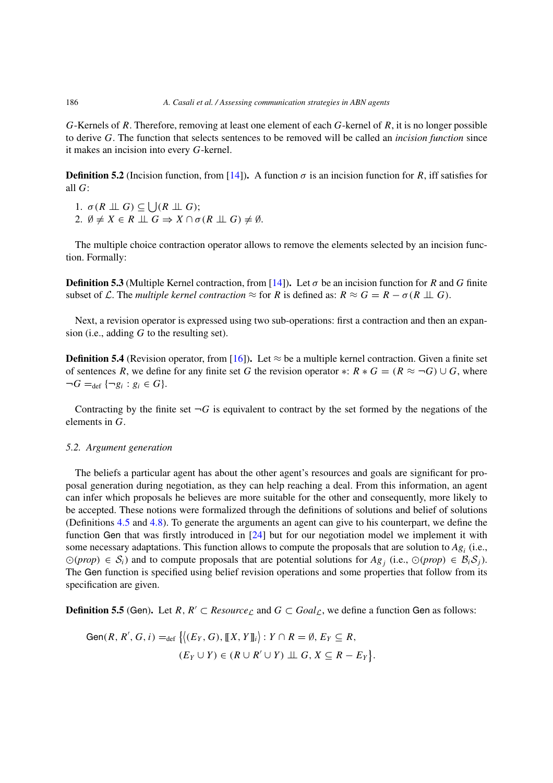*G*-Kernels of *R*. Therefore, removing at least one element of each *G*-kernel of *R*, it is no longer possible to derive *G*. The function that selects sentences to be removed will be called an *incision function* since it makes an incision into every *G*-kernel.

**Definition 5.2** (Incision function, from [\[14](#page-24-10)]). A function  $\sigma$  is an incision function for *R*, iff satisfies for all *G*:

1.  $\sigma(R \perp\!\!\!\perp G) \subseteq |(R \perp\!\!\!\perp G);$ 2.  $\emptyset \neq X \in R \perp \!\!\! \perp G \Rightarrow X \cap \sigma(R \perp \!\!\! \perp G) \neq \emptyset.$ 

The multiple choice contraction operator allows to remove the elements selected by an incision function. Formally:

<span id="page-11-0"></span>**Definition 5.3** (Multiple Kernel contraction, from [\[14\]](#page-24-10)). Let  $\sigma$  be an incision function for *R* and *G* finite subset of L. The *multiple kernel contraction*  $\approx$  for R is defined as:  $R \approx G = R - \sigma(R \perp \perp G)$ .

Next, a revision operator is expressed using two sub-operations: first a contraction and then an expansion (i.e., adding *G* to the resulting set).

<span id="page-11-1"></span>**Definition 5.4** (Revision operator, from [\[16\]](#page-24-11)). Let  $\approx$  be a multiple kernel contraction. Given a finite set of sentences *R*, we define for any finite set *G* the revision operator \*:  $R * G = (R \approx \neg G) \cup G$ , where  $\neg G =_{\text{def}} {\neg g_i : g_i \in G}.$ 

Contracting by the finite set  $\neg G$  is equivalent to contract by the set formed by the negations of the elements in *G*.

# *5.2. Argument generation*

The beliefs a particular agent has about the other agent's resources and goals are significant for proposal generation during negotiation, as they can help reaching a deal. From this information, an agent can infer which proposals he believes are more suitable for the other and consequently, more likely to be accepted. These notions were formalized through the definitions of solutions and belief of solutions (Definitions [4.5](#page-8-2) and [4.8\)](#page-9-1). To generate the arguments an agent can give to his counterpart, we define the function Gen that was firstly introduced in [\[24](#page-25-4)] but for our negotiation model we implement it with some necessary adaptations. This function allows to compute the proposals that are solution to *Ag<sup>i</sup>* (i.e.,  $\odot$ (*prop*) ∈  $S_i$ ) and to compute proposals that are potential solutions for  $Ag_j$  (i.e.,  $\odot$ (*prop*) ∈  $B_i S_j$ ). The Gen function is specified using belief revision operations and some properties that follow from its specification are given.

<span id="page-11-2"></span>**Definition 5.5** (Gen). Let *R*,  $R' \subset Resource_{\mathcal{L}}$  and  $G \subset Goal_{\mathcal{L}}$ , we define a function Gen as follows:

Gen
$$
(R, R', G, i) =_{def} \{ \langle (E_Y, G), [[X, Y]]_i \rangle : Y \cap R = \emptyset, E_Y \subseteq R,
$$
  
 $(E_Y \cup Y) \in (R \cup R' \cup Y) \perp \sqcup G, X \subseteq R - E_Y \}.$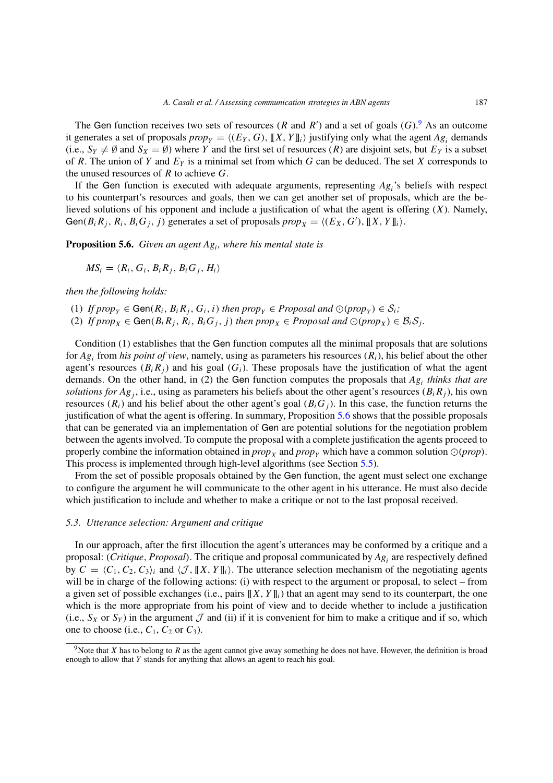The Gen function receives two sets of resources (*R* and *R*') and a set of goals (*G*).<sup>9</sup> As an outcome it generates a set of proposals  $prop_Y = \langle (E_Y, G), [[X, Y]]_i \rangle$  justifying only what the agent  $Ag_i$  demands (i.e.,  $S_Y \neq \emptyset$  and  $S_X = \emptyset$ ) where *Y* and the first set of resources (*R*) are disjoint sets, but  $E_Y$  is a subset of *R*. The union of *Y* and *EY* is a minimal set from which *G* can be deduced. The set *X* corresponds to the unused resources of *R* to achieve *G*.

If the Gen function is executed with adequate arguments, representing  $Ag_i$ 's beliefs with respect to his counterpart's resources and goals, then we can get another set of proposals, which are the believed solutions of his opponent and include a justification of what the agent is offering (*X*). Namely, Gen( $B_i R_j$ ,  $R_i$ ,  $B_i G_j$ , *j*) generates a set of proposals  $prop_X = \langle (E_X, G'), [[X, Y] \rangle \rangle$ .

<span id="page-12-1"></span>**Proposition 5.6.** *Given an agent Agi, where his mental state is*

 $MS_i = \langle R_i, G_i, B_i, R_j, B_i, G_j, H_i \rangle$ 

*then the following holds:*

- (1) *If prop*<sup>*Y*</sup>  $\in$  Gen $(R_i, B_i, R_j, G_i, i)$  *then prop*<sup>*Y*</sup>  $\in$  *Proposal and*  $\odot$  *(prop<sub>Y</sub>*)  $\in$  *S<sub>i</sub>*;
- (2) *If prop*<sub>*X*</sub>  $\in$  Gen $(B_i R_j, R_i, B_i G_j, j)$  *then prop<sub>X</sub>*  $\in$  *Proposal and*  $\odot$  *(prop<sub>X</sub>)*  $\in$   $B_i S_j$ .

Condition (1) establishes that the Gen function computes all the minimal proposals that are solutions for *Ag<sup>i</sup>* from *his point of view*, namely, using as parameters his resources (*Ri*), his belief about the other agent's resources  $(B_i R_j)$  and his goal  $(G_i)$ . These proposals have the justification of what the agent demands. On the other hand, in (2) the Gen function computes the proposals that *Ag<sup>i</sup> thinks that are solutions for Ag<sub>i</sub>*, i.e., using as parameters his beliefs about the other agent's resources ( $B_i R_j$ ), his own resources  $(R<sub>i</sub>)$  and his belief about the other agent's goal  $(B<sub>i</sub>G<sub>i</sub>)$ . In this case, the function returns the justification of what the agent is offering. In summary, Proposition [5.6](#page-12-1) shows that the possible proposals that can be generated via an implementation of Gen are potential solutions for the negotiation problem between the agents involved. To compute the proposal with a complete justification the agents proceed to properly combine the information obtained in  $prop_X$  and  $prop_Y$  which have a common solution  $\odot (prop)$ . This process is implemented through high-level algorithms (see Section [5.5\)](#page-14-0).

From the set of possible proposals obtained by the Gen function, the agent must select one exchange to configure the argument he will communicate to the other agent in his utterance. He must also decide which justification to include and whether to make a critique or not to the last proposal received.

# <span id="page-12-2"></span>*5.3. Utterance selection: Argument and critique*

In our approach, after the first illocution the agent's utterances may be conformed by a critique and a proposal: *(Critique, Proposal)*. The critique and proposal communicated by *Ag<sup>i</sup>* are respectively defined by  $C = \langle C_1, C_2, C_3 \rangle_i$  and  $\langle \mathcal{J}, [X, Y]_i \rangle$ . The utterance selection mechanism of the negotiating agents will be in charge of the following actions: (i) with respect to the argument or proposal, to select – from a given set of possible exchanges (i.e., pairs  $[[X, Y]]_i$ ) that an agent may send to its counterpart, the one which is the more appropriate from his point of view and to decide whether to include a justification (i.e.,  $S_X$  or  $S_Y$ ) in the argument  $\mathcal J$  and (ii) if it is convenient for him to make a critique and if so, which one to choose (i.e.,  $C_1$ ,  $C_2$  or  $C_3$ ).

<span id="page-12-0"></span><sup>9</sup>Note that *X* has to belong to *R* as the agent cannot give away something he does not have. However, the definition is broad enough to allow that *Y* stands for anything that allows an agent to reach his goal.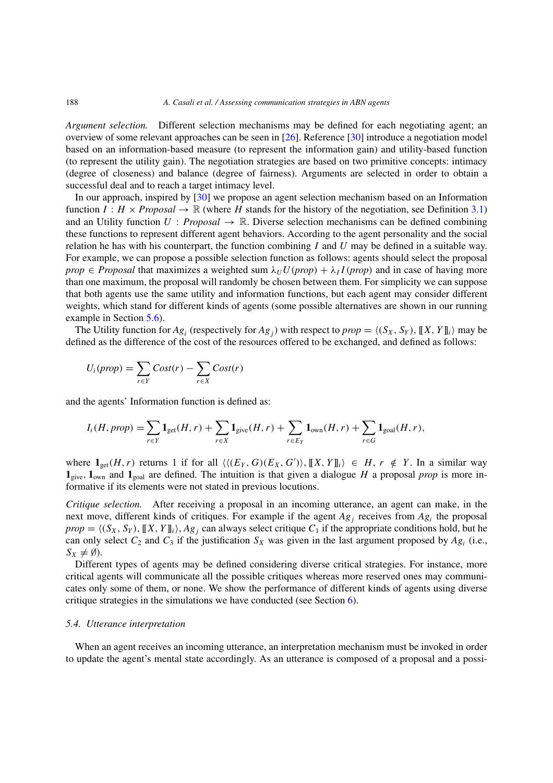*Argument selection.* Different selection mechanisms may be defined for each negotiating agent; an overview of some relevant approaches can be seen in [\[26\]](#page-25-2). Reference [\[30](#page-25-6)] introduce a negotiation model based on an information-based measure (to represent the information gain) and utility-based function (to represent the utility gain). The negotiation strategies are based on two primitive concepts: intimacy (degree of closeness) and balance (degree of fairness). Arguments are selected in order to obtain a successful deal and to reach a target intimacy level.

In our approach, inspired by [\[30\]](#page-25-6) we propose an agent selection mechanism based on an Information function  $I : H \times Proposal \rightarrow \mathbb{R}$  (where *H* stands for the history of the negotiation, see Definition [3.1\)](#page-4-3) and an Utility function  $U : Proposal \rightarrow \mathbb{R}$ . Diverse selection mechanisms can be defined combining these functions to represent different agent behaviors. According to the agent personality and the social relation he has with his counterpart, the function combining *I* and *U* may be defined in a suitable way. For example, we can propose a possible selection function as follows: agents should select the proposal *prop*  $\in$  *Proposal* that maximizes a weighted sum  $\lambda_U U (prop) + \lambda_I I (prop)$  and in case of having more than one maximum, the proposal will randomly be chosen between them. For simplicity we can suppose that both agents use the same utility and information functions, but each agent may consider different weights, which stand for different kinds of agents (some possible alternatives are shown in our running example in Section [5.6\)](#page-16-0).

The Utility function for  $Ag_i$  (respectively for  $Ag_i$ ) with respect to  $prop = \langle (S_X, S_Y), [[X, Y]]_i \rangle$  may be defined as the difference of the cost of the resources offered to be exchanged, and defined as follows:

$$
U_i(prop) = \sum_{r \in Y} Cost(r) - \sum_{r \in X} Cost(r)
$$

and the agents' Information function is defined as:

$$
I_i(H, prop) = \sum_{r \in Y} \mathbf{1}_{\text{get}}(H, r) + \sum_{r \in X} \mathbf{1}_{\text{give}}(H, r) + \sum_{r \in E_Y} \mathbf{1}_{\text{own}}(H, r) + \sum_{r \in G} \mathbf{1}_{\text{goal}}(H, r),
$$

where  $\mathbf{1}_{\text{get}}(H, r)$  returns 1 if for all  $\langle \langle (E_Y, G)(E_X, G') \rangle, [[X, Y]]_i \rangle \in H, r \notin Y$ . In a similar way  $\mathbf{1}_{\text{view}}$ ,  $\mathbf{1}_{\text{own}}$  and  $\mathbf{1}_{\text{eval}}$  are defined. The intuition is that given a dialogue *H* a proposal *prop* is more informative if its elements were not stated in previous locutions.

*Critique selection.* After receiving a proposal in an incoming utterance, an agent can make, in the next move, different kinds of critiques. For example if the agent *Ag<sup>j</sup>* receives from *Ag<sup>i</sup>* the proposal  $prop = \langle (S_X, S_Y), [[X, Y]]_i \rangle$ ,  $Ag_j$  can always select critique  $C_1$  if the appropriate conditions hold, but he can only select  $C_2$  and  $C_3$  if the justification  $S_X$  was given in the last argument proposed by  $Ag_i$  (i.e.,  $S_X \neq \emptyset$ ).

Different types of agents may be defined considering diverse critical strategies. For instance, more critical agents will communicate all the possible critiques whereas more reserved ones may communicates only some of them, or none. We show the performance of different kinds of agents using diverse critique strategies in the simulations we have conducted (see Section [6\)](#page-17-0).

#### <span id="page-13-0"></span>*5.4. Utterance interpretation*

When an agent receives an incoming utterance, an interpretation mechanism must be invoked in order to update the agent's mental state accordingly. As an utterance is composed of a proposal and a possi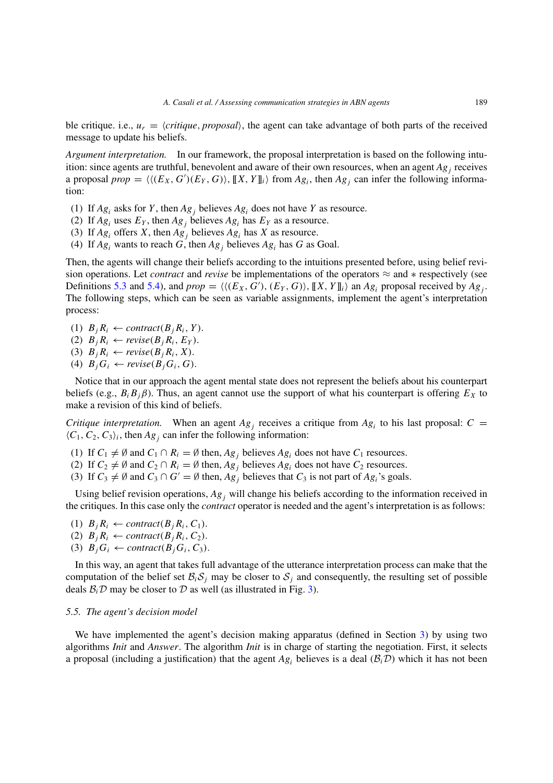ble critique. i.e.,  $u_r = \langle critique, proposal \rangle$ , the agent can take advantage of both parts of the received message to update his beliefs.

*Argument interpretation.* In our framework, the proposal interpretation is based on the following intuition: since agents are truthful, benevolent and aware of their own resources, when an agent *Ag<sup>j</sup>* receives a proposal  $prop = \langle \langle (E_X, G')(E_Y, G) \rangle, [[X, Y]]_i \rangle$  from  $Ag_i$ , then  $Ag_j$  can infer the following information:

- (1) If  $Ag_i$  asks for *Y*, then  $Ag_j$  believes  $Ag_i$  does not have *Y* as resource.
- (2) If  $Ag_i$  uses  $E_Y$ , then  $Ag_i$  believes  $Ag_i$  has  $E_Y$  as a resource.
- (3) If  $Ag_i$  offers *X*, then  $Ag_i$  believes  $Ag_i$  has *X* as resource.
- (4) If  $Ag_i$  wants to reach  $G$ , then  $Ag_i$  believes  $Ag_i$  has  $G$  as Goal.

Then, the agents will change their beliefs according to the intuitions presented before, using belief revision operations. Let *contract* and *revise* be implementations of the operators ≈ and ∗ respectively (see Definitions [5.3](#page-11-0) and [5.4\)](#page-11-1), and  $prop = \langle \langle (E_X, G') , (E_Y, G) \rangle$ ,  $[[X, Y]]_i \rangle$  an  $Ag_i$  proposal received by  $Ag_j$ . The following steps, which can be seen as variable assignments, implement the agent's interpretation process:

- (1)  $B_i R_i \leftarrow contract(B_i, Y)$ .
- (2)  $B_i R_i \leftarrow \text{revise}(B_i R_i, E_Y)$ .
- (3)  $B_i R_i \leftarrow \text{revise}(B_i R_i, X)$ .
- (4)  $B_iG_i \leftarrow \text{revise}(B_iG_i, G)$ .

Notice that in our approach the agent mental state does not represent the beliefs about his counterpart beliefs (e.g.,  $B_i B_j \beta$ ). Thus, an agent cannot use the support of what his counterpart is offering  $E_X$  to make a revision of this kind of beliefs.

*Critique interpretation.* When an agent  $Ag<sub>j</sub>$  receives a critique from  $Ag<sub>i</sub>$  to his last proposal:  $C =$  $\langle C_1, C_2, C_3 \rangle$ *i*, then  $Ag_j$  can infer the following information:

- (1) If  $C_1 \neq \emptyset$  and  $C_1 \cap R_i = \emptyset$  then,  $Ag_j$  believes  $Ag_i$  does not have  $C_1$  resources.
- (2) If  $C_2 \neq \emptyset$  and  $C_2 \cap R_i = \emptyset$  then,  $Ag_j$  believes  $Ag_i$  does not have  $C_2$  resources.
- (3) If  $C_3 \neq \emptyset$  and  $C_3 \cap G' = \emptyset$  then,  $Ag_i$  believes that  $C_3$  is not part of  $Ag_i$ 's goals.

Using belief revision operations, *Ag<sup>j</sup>* will change his beliefs according to the information received in the critiques. In this case only the *contract* operator is needed and the agent's interpretation is as follows:

- (1)  $B_i R_i \leftarrow contract(B_i R_i, C_1)$ .
- (2)  $B_j R_i \leftarrow contract(B_j R_i, C_2)$ .
- (3)  $B_iG_i \leftarrow contract(B_iG_i, C_3)$ .

In this way, an agent that takes full advantage of the utterance interpretation process can make that the computation of the belief set  $\mathcal{B}_i \mathcal{S}_j$  may be closer to  $\mathcal{S}_j$  and consequently, the resulting set of possible deals  $\mathcal{B}_i \mathcal{D}$  may be closer to  $\mathcal D$  as well (as illustrated in Fig. [3\)](#page-10-1).

#### <span id="page-14-0"></span>*5.5. The agent's decision model*

We have implemented the agent's decision making apparatus (defined in Section [3\)](#page-3-0) by using two algorithms *Init* and *Answer*. The algorithm *Init* is in charge of starting the negotiation. First, it selects a proposal (including a justification) that the agent  $Ag_i$  believes is a deal ( $B_i\mathcal{D}$ ) which it has not been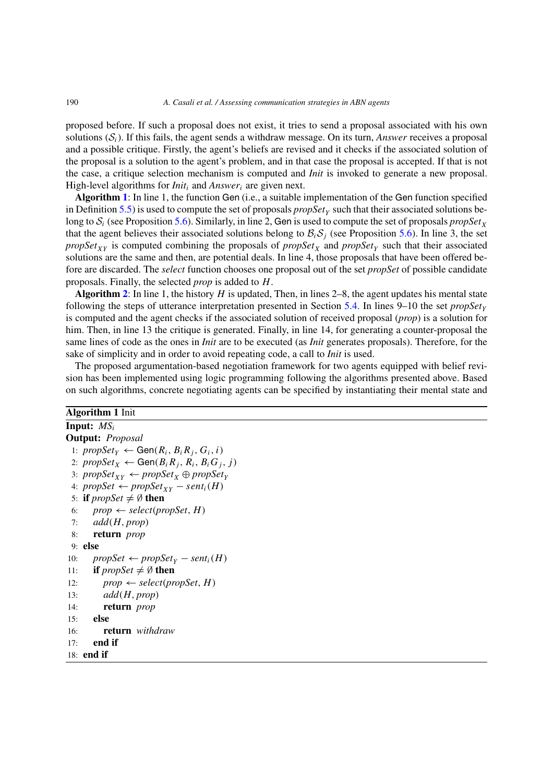proposed before. If such a proposal does not exist, it tries to send a proposal associated with his own solutions  $(S_i)$ . If this fails, the agent sends a withdraw message. On its turn, *Answer* receives a proposal and a possible critique. Firstly, the agent's beliefs are revised and it checks if the associated solution of the proposal is a solution to the agent's problem, and in that case the proposal is accepted. If that is not the case, a critique selection mechanism is computed and *Init* is invoked to generate a new proposal. High-level algorithms for *Init<sup>i</sup>* and *Answer<sup>i</sup>* are given next.

**Algorithm [1](#page-15-0)**: In line 1, the function Gen (i.e., a suitable implementation of the Gen function specified in Definition [5.5\)](#page-11-2) is used to compute the set of proposals  $propSet<sub>Y</sub>$  such that their associated solutions belong to  $S_i$  (see Proposition [5.6\)](#page-12-1). Similarly, in line 2, Gen is used to compute the set of proposals *propSet*<sub>*X*</sub> that the agent believes their associated solutions belong to  $\mathcal{B}_i \mathcal{S}_j$  (see Proposition [5.6\)](#page-12-1). In line 3, the set *propSet*<sub>*XY*</sub> is computed combining the proposals of *propSet<sub>X</sub>* and *propSet<sub>Y</sub>* such that their associated solutions are the same and then, are potential deals. In line 4, those proposals that have been offered before are discarded. The *select* function chooses one proposal out of the set *propSet* of possible candidate proposals. Finally, the selected *prop* is added to *H*.

**Algorithm [2](#page-16-1)**: In line 1, the history  $H$  is updated, Then, in lines 2–8, the agent updates his mental state following the steps of utterance interpretation presented in Section [5.4.](#page-13-0) In lines 9–10 the set *propSet<sup>Y</sup>* is computed and the agent checks if the associated solution of received proposal (*prop*) is a solution for him. Then, in line 13 the critique is generated. Finally, in line 14, for generating a counter-proposal the same lines of code as the ones in *Init* are to be executed (as *Init* generates proposals). Therefore, for the sake of simplicity and in order to avoid repeating code, a call to *Init* is used.

The proposed argumentation-based negotiation framework for two agents equipped with belief revision has been implemented using logic programming following the algorithms presented above. Based on such algorithms, concrete negotiating agents can be specified by instantiating their mental state and

# <span id="page-15-0"></span>**Algorithm 1** Init

```
Input: MSi
Output: Proposal
 1: \text{propSet}_Y \leftarrow \text{Gen}(R_i, B_i R_j, G_i, i)2: \text{propSet}_X \leftarrow \text{Gen}(B_i R_j, R_i, B_i G_j, j)3: \text{propSet}_{XY} \leftarrow \text{propSet}_X \oplus \text{propSet}_Y4: propSet ← propSet<sub>XY</sub> – sent<sub>i</sub>(H)
 5: if \text{propSet} \neq \emptyset then
 6: prop \leftarrow select(propSet, H)7: add(H, prop)
 8: return prop
 9: else
10: propSet ← propSet<sub>Y</sub> – sent<sub>i</sub>(H)
11: if propSet \neq \emptyset then
12: prop \leftarrow select(propSet, H)
13: add(H, prop)
14: return prop
15: else
16: return withdraw
17: end if
18: end if
```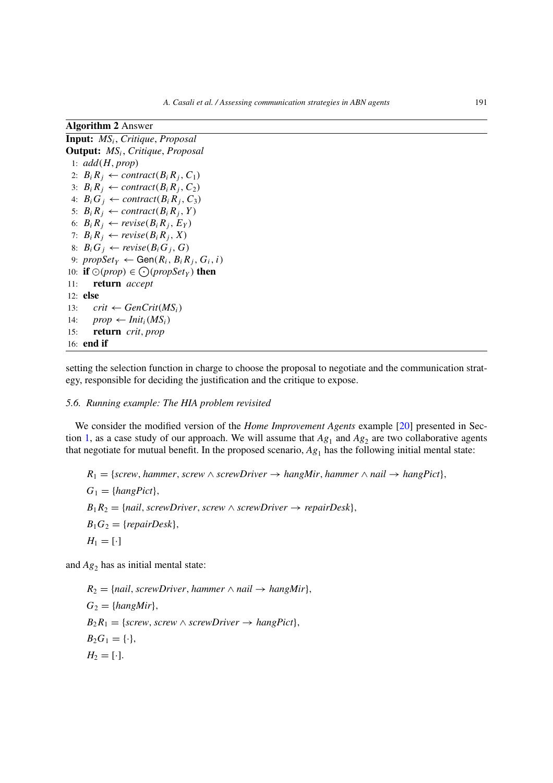| АІgol ІШШ <i>4</i> Анэмсі                                                        |  |  |  |  |  |
|----------------------------------------------------------------------------------|--|--|--|--|--|
| <b>Input:</b> $MS_i$ , Critique, Proposal                                        |  |  |  |  |  |
| <b>Output:</b> $MS_i$ , Critique, Proposal                                       |  |  |  |  |  |
| 1: $add(H, prop)$                                                                |  |  |  |  |  |
| 2: $B_i R_j \leftarrow contract(B_i R_j, C_1)$                                   |  |  |  |  |  |
| 3: $B_i R_j \leftarrow contract(B_i R_j, C_2)$                                   |  |  |  |  |  |
| 4: $B_i G_j \leftarrow contract(B_i R_j, C_3)$                                   |  |  |  |  |  |
| 5: $B_i R_j \leftarrow contract(B_i R_j, Y)$                                     |  |  |  |  |  |
| 6: $B_i R_j \leftarrow revise(B_i R_j, E_Y)$                                     |  |  |  |  |  |
| 7: $B_i R_j \leftarrow \text{revise}(B_i R_j, X)$                                |  |  |  |  |  |
| 8: $B_i G_j \leftarrow \text{revise}(B_i G_j, G)$                                |  |  |  |  |  |
| 9: $\text{propSet}_Y \leftarrow \text{Gen}(R_i, B_i, R_j, G_i, i)$               |  |  |  |  |  |
| 10: if $\odot$ ( <i>prop</i> ) $\in$ $\odot$ ( <i>propSet<sub>y</sub></i> ) then |  |  |  |  |  |
| return accept<br>11:                                                             |  |  |  |  |  |
| 12: else                                                                         |  |  |  |  |  |
| $crit \leftarrow GenCrit(MS_i)$<br>13:                                           |  |  |  |  |  |
| $prop \leftarrow init_i(MS_i)$<br>14:                                            |  |  |  |  |  |
| 15: <b>return</b> crit, prop                                                     |  |  |  |  |  |
| 16: <b>end</b> if                                                                |  |  |  |  |  |

<span id="page-16-1"></span>**Algorithm 2** Answer

setting the selection function in charge to choose the proposal to negotiate and the communication strategy, responsible for deciding the justification and the critique to expose.

# <span id="page-16-0"></span>*5.6. Running example: The HIA problem revisited*

We consider the modified version of the *Home Improvement Agents* example [\[20\]](#page-24-4) presented in Sec-tion [1,](#page-0-4) as a case study of our approach. We will assume that  $Ag_1$  and  $Ag_2$  are two collaborative agents that negotiate for mutual benefit. In the proposed scenario,  $Ag<sub>1</sub>$  has the following initial mental state:

 $R_1 = \{screw, hammer, screw \land screwDirect\}$ ,  $\rightarrow hangMir, hammer \land nail \rightarrow hangPic1\}$  $G_1 = \{hangPict\},\$  $B_1R_2 = \{nail, screwDriver, screw \land screwDriver \rightarrow repairDesk\},\$  $B_1G_2 = \{repairDesk\},\$  $H_1 = [\cdot]$ 

and  $Ag<sub>2</sub>$  has as initial mental state:

 $R_2 = \{mail, screwDriver, hammer \land nail \rightarrow hangMir\},$  $G_2 = \{hangMir\},\$  $B_2R_1 = \{screw, \text{ screw} \land \text{ screw} \}$ *,*  $\rightarrow$  *hangPict* $\}$ *,*  $B_2G_1 = \{\cdot\},\$  $H_2 = [\cdot]$ .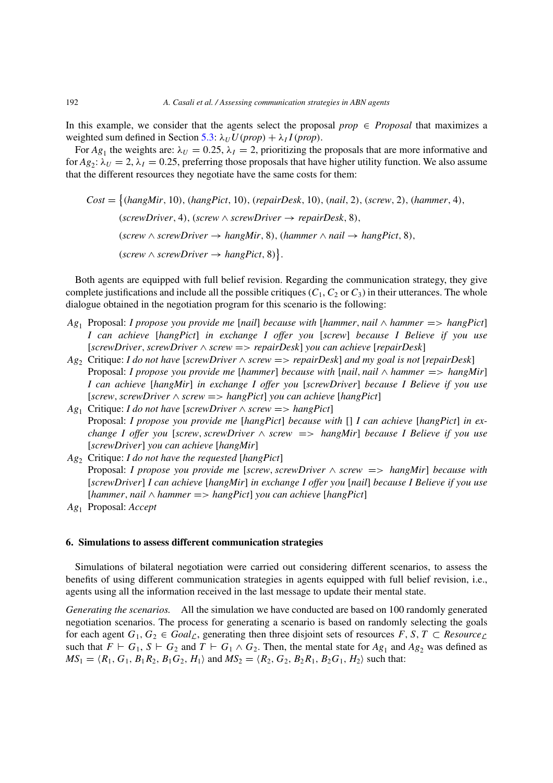In this example, we consider that the agents select the proposal *prop*  $\in$  *Proposal* that maximizes a weighted sum defined in Section [5.3:](#page-12-2)  $\lambda_U U (prop) + \lambda_I I (prop)$ .

For  $Ag_1$  the weights are:  $\lambda_U = 0.25$ ,  $\lambda_I = 2$ , prioritizing the proposals that are more informative and for  $Ag_2$ :  $\lambda_U = 2$ ,  $\lambda_I = 0.25$ , preferring those proposals that have higher utility function. We also assume that the different resources they negotiate have the same costs for them:

 $Cost = \{(hangMir, 10), (hangPic, 10), (repairDesk, 10), (nail, 2), (screw, 2), (hammer, 4),$  $(*screen*, 4)$ ,  $(*screen*  $\land$  *screen irb irc ird ird ird is ird ird ird ird ird ird ird ird ird ird ird ird ird ird ird ird ird*$ *(screw* ∧ *screwDriver* → *hangMir,* 8*), (hammer* ∧ *nail* → *hangPict,* 8*),*  $(\textit{screen} \land \textit{screen} \rightarrow \textit{hangPict}, 8)$ .

Both agents are equipped with full belief revision. Regarding the communication strategy, they give complete justifications and include all the possible critiques  $(C_1, C_2$  or  $C_3$ ) in their utterances. The whole dialogue obtained in the negotiation program for this scenario is the following:

- *Ag*<sup>1</sup> Proposal: *I propose you provide me* [*nail*] *because with* [*hammer, nail* ∧ *hammer* =*> hangPict*] *I can achieve* [*hangPict*] *in exchange I offer you* [*screw*] *because I Believe if you use* [*screwDriver,screwDriver* ∧ *screw* =*> repairDesk*] *you can achieve* [*repairDesk*]
- *Ag*<sup>2</sup> Critique: *I do not have* [*screwDriver* ∧ *screw* =*> repairDesk*] *and my goal is not* [*repairDesk*] Proposal: *I propose you provide me* [*hammer*] *because with* [*nail*, *nail*  $\land$  *hammer* = > *hangMir*] *I can achieve* [*hangMir*] *in exchange I offer you* [*screwDriver*] *because I Believe if you use* [*screw,screwDriver* ∧ *screw* =*> hangPict*] *you can achieve* [*hangPict*]
- *Ag*<sup>1</sup> Critique: *I do not have* [*screwDriver* ∧ *screw* =*> hangPict*] Proposal: *I propose you provide me* [*hangPict*] *because with* [] *I can achieve* [*hangPict*] *in exchange I offer you* [*screw,screwDriver* ∧ *screw* =*> hangMir*] *because I Believe if you use* [*screwDriver*] *you can achieve* [*hangMir*]
- *Ag*<sup>2</sup> Critique: *I do not have the requested* [*hangPict*] Proposal: *I propose you provide me* [*screw,screwDriver* ∧ *screw* =*> hangMir*] *because with* [*screwDriver*] *I can achieve* [*hangMir*] *in exchange I offer you* [*nail*] *because I Believe if you use* [*hammer, nail* ∧ *hammer* =*> hangPict*] *you can achieve* [*hangPict*]
- *Ag*<sup>1</sup> Proposal: *Accept*

# <span id="page-17-0"></span>**6. Simulations to assess different communication strategies**

Simulations of bilateral negotiation were carried out considering different scenarios, to assess the benefits of using different communication strategies in agents equipped with full belief revision, i.e., agents using all the information received in the last message to update their mental state.

*Generating the scenarios.* All the simulation we have conducted are based on 100 randomly generated negotiation scenarios. The process for generating a scenario is based on randomly selecting the goals for each agent  $G_1, G_2 \in \text{Goal}_\mathcal{L}$ , generating then three disjoint sets of resources  $F, S, T \subset \text{Resource}_\mathcal{L}$ such that  $F \vdash G_1$ ,  $S \vdash G_2$  and  $T \vdash G_1 \land G_2$ . Then, the mental state for  $Ag_1$  and  $Ag_2$  was defined as  $MS_1 = \langle R_1, G_1, B_1R_2, B_1G_2, H_1 \rangle$  and  $MS_2 = \langle R_2, G_2, B_2R_1, B_2G_1, H_2 \rangle$  such that: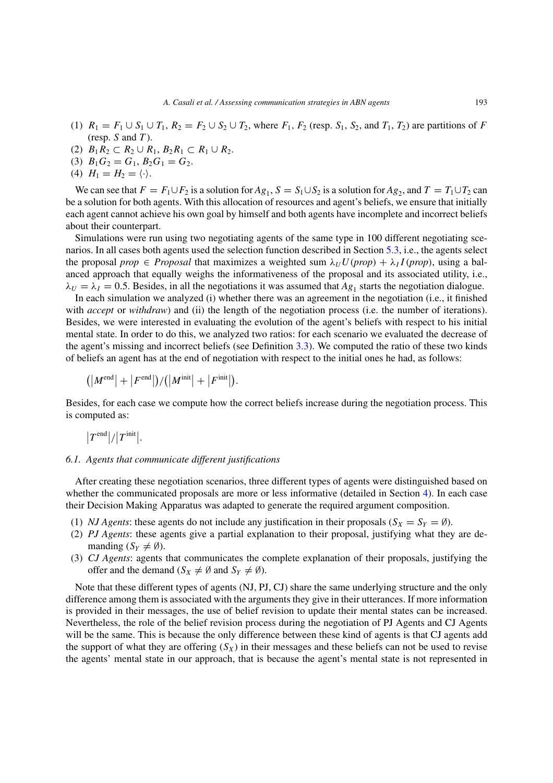- (1)  $R_1 = F_1 \cup S_1 \cup T_1$ ,  $R_2 = F_2 \cup S_2 \cup T_2$ , where  $F_1$ ,  $F_2$  (resp.  $S_1$ ,  $S_2$ , and  $T_1$ ,  $T_2$ ) are partitions of *F* (resp. *S* and *T* ).
- (2)  $B_1R_2 \subset R_2 \cup R_1, B_2R_1 \subset R_1 \cup R_2.$
- (3)  $B_1G_2 = G_1, B_2G_1 = G_2.$
- (4)  $H_1 = H_2 = \langle \cdot \rangle$ .

We can see that  $F = F_1 \cup F_2$  is a solution for  $Ag_1$ ,  $S = S_1 \cup S_2$  is a solution for  $Ag_2$ , and  $T = T_1 \cup T_2$  can be a solution for both agents. With this allocation of resources and agent's beliefs, we ensure that initially each agent cannot achieve his own goal by himself and both agents have incomplete and incorrect beliefs about their counterpart.

Simulations were run using two negotiating agents of the same type in 100 different negotiating scenarios. In all cases both agents used the selection function described in Section [5.3,](#page-12-2) i.e., the agents select the proposal *prop*  $\in$  *Proposal* that maximizes a weighted sum  $\lambda_U U (prop) + \lambda_I I (prop)$ , using a balanced approach that equally weighs the informativeness of the proposal and its associated utility, i.e.,  $\lambda_U = \lambda_I = 0.5$ . Besides, in all the negotiations it was assumed that  $Ag_1$  starts the negotiation dialogue.

In each simulation we analyzed (i) whether there was an agreement in the negotiation (i.e., it finished with *accept* or *withdraw*) and (ii) the length of the negotiation process (i.e. the number of iterations). Besides, we were interested in evaluating the evolution of the agent's beliefs with respect to his initial mental state. In order to do this, we analyzed two ratios: for each scenario we evaluated the decrease of the agent's missing and incorrect beliefs (see Definition [3.3\)](#page-5-2). We computed the ratio of these two kinds of beliefs an agent has at the end of negotiation with respect to the initial ones he had, as follows:

$$
\left(|M^{\rm end}|+ \left|F^{\rm end}\right|)/\big(|M^{\rm init}|+ \left|F^{\rm init}\right| \right).
$$

Besides, for each case we compute how the correct beliefs increase during the negotiation process. This is computed as:

$$
|T^{\text{end}}|/|T^{\text{init}}|.
$$

## *6.1. Agents that communicate different justifications*

After creating these negotiation scenarios, three different types of agents were distinguished based on whether the communicated proposals are more or less informative (detailed in Section [4\)](#page-5-0). In each case their Decision Making Apparatus was adapted to generate the required argument composition.

- (1) *NJ Agents*: these agents do not include any justification in their proposals ( $S_X = S_Y = \emptyset$ ).
- (2) *PJ Agents*: these agents give a partial explanation to their proposal, justifying what they are demanding  $(S_Y \neq \emptyset)$ .
- (3) *CJ Agents*: agents that communicates the complete explanation of their proposals, justifying the offer and the demand  $(S_X \neq \emptyset$  and  $S_Y \neq \emptyset$ ).

Note that these different types of agents (NJ, PJ, CJ) share the same underlying structure and the only difference among them is associated with the arguments they give in their utterances. If more information is provided in their messages, the use of belief revision to update their mental states can be increased. Nevertheless, the role of the belief revision process during the negotiation of PJ Agents and CJ Agents will be the same. This is because the only difference between these kind of agents is that CJ agents add the support of what they are offering  $(S_X)$  in their messages and these beliefs can not be used to revise the agents' mental state in our approach, that is because the agent's mental state is not represented in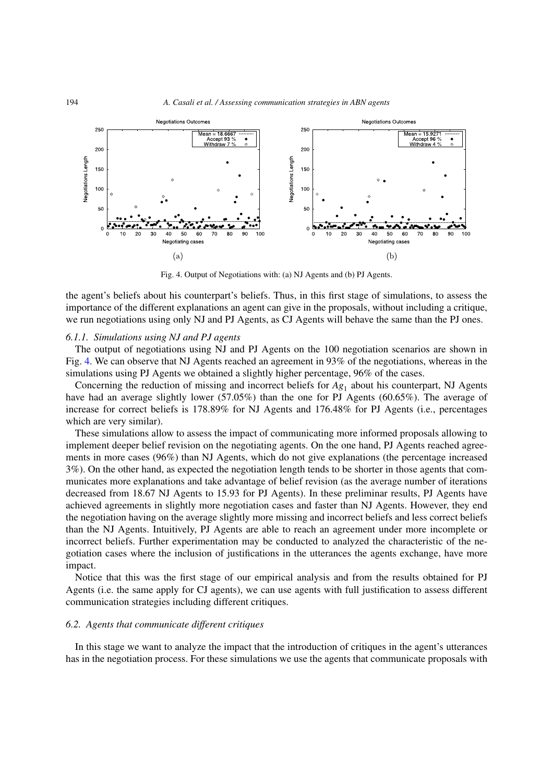

<span id="page-19-0"></span>Fig. 4. Output of Negotiations with: (a) NJ Agents and (b) PJ Agents.

the agent's beliefs about his counterpart's beliefs. Thus, in this first stage of simulations, to assess the importance of the different explanations an agent can give in the proposals, without including a critique, we run negotiations using only NJ and PJ Agents, as CJ Agents will behave the same than the PJ ones.

# *6.1.1. Simulations using NJ and PJ agents*

The output of negotiations using NJ and PJ Agents on the 100 negotiation scenarios are shown in Fig. [4.](#page-19-0) We can observe that NJ Agents reached an agreement in 93% of the negotiations, whereas in the simulations using PJ Agents we obtained a slightly higher percentage, 96% of the cases.

Concerning the reduction of missing and incorrect beliefs for  $Ag_1$  about his counterpart, NJ Agents have had an average slightly lower (57.05%) than the one for PJ Agents (60.65%). The average of increase for correct beliefs is 178.89% for NJ Agents and 176.48% for PJ Agents (i.e., percentages which are very similar).

These simulations allow to assess the impact of communicating more informed proposals allowing to implement deeper belief revision on the negotiating agents. On the one hand, PJ Agents reached agreements in more cases (96%) than NJ Agents, which do not give explanations (the percentage increased 3%). On the other hand, as expected the negotiation length tends to be shorter in those agents that communicates more explanations and take advantage of belief revision (as the average number of iterations decreased from 18.67 NJ Agents to 15.93 for PJ Agents). In these preliminar results, PJ Agents have achieved agreements in slightly more negotiation cases and faster than NJ Agents. However, they end the negotiation having on the average slightly more missing and incorrect beliefs and less correct beliefs than the NJ Agents. Intuitively, PJ Agents are able to reach an agreement under more incomplete or incorrect beliefs. Further experimentation may be conducted to analyzed the characteristic of the negotiation cases where the inclusion of justifications in the utterances the agents exchange, have more impact.

Notice that this was the first stage of our empirical analysis and from the results obtained for PJ Agents (i.e. the same apply for CJ agents), we can use agents with full justification to assess different communication strategies including different critiques.

# *6.2. Agents that communicate different critiques*

In this stage we want to analyze the impact that the introduction of critiques in the agent's utterances has in the negotiation process. For these simulations we use the agents that communicate proposals with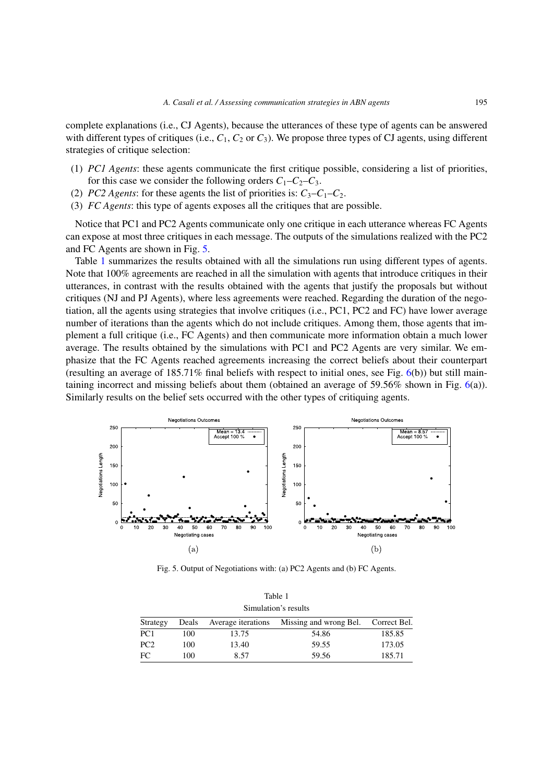complete explanations (i.e., CJ Agents), because the utterances of these type of agents can be answered with different types of critiques (i.e.,  $C_1$ ,  $C_2$  or  $C_3$ ). We propose three types of CJ agents, using different strategies of critique selection:

- (1) *PC1 Agents*: these agents communicate the first critique possible, considering a list of priorities, for this case we consider the following orders  $C_1 - C_2 - C_3$ .
- (2) *PC2 Agents:* for these agents the list of priorities is:  $C_3 C_1 C_2$ .
- (3) *FC Agents*: this type of agents exposes all the critiques that are possible.

Notice that PC1 and PC2 Agents communicate only one critique in each utterance whereas FC Agents can expose at most three critiques in each message. The outputs of the simulations realized with the PC2 and FC Agents are shown in Fig. [5.](#page-20-0)

Table [1](#page-20-1) summarizes the results obtained with all the simulations run using different types of agents. Note that 100% agreements are reached in all the simulation with agents that introduce critiques in their utterances, in contrast with the results obtained with the agents that justify the proposals but without critiques (NJ and PJ Agents), where less agreements were reached. Regarding the duration of the negotiation, all the agents using strategies that involve critiques (i.e., PC1, PC2 and FC) have lower average number of iterations than the agents which do not include critiques. Among them, those agents that implement a full critique (i.e., FC Agents) and then communicate more information obtain a much lower average. The results obtained by the simulations with PC1 and PC2 Agents are very similar. We emphasize that the FC Agents reached agreements increasing the correct beliefs about their counterpart (resulting an average of  $185.71\%$  final beliefs with respect to initial ones, see Fig.  $6(b)$  $6(b)$ ) but still maintaining incorrect and missing beliefs about them (obtained an average of 59.56% shown in Fig. [6\(](#page-21-1)a)). Similarly results on the belief sets occurred with the other types of critiquing agents.



<span id="page-20-1"></span><span id="page-20-0"></span>Fig. 5. Output of Negotiations with: (a) PC2 Agents and (b) FC Agents.

| Table 1<br>Simulation's results |       |                    |                                     |        |  |
|---------------------------------|-------|--------------------|-------------------------------------|--------|--|
| Strategy                        | Deals | Average iterations | Missing and wrong Bel. Correct Bel. |        |  |
| PC <sub>1</sub>                 | 100   | 13.75              | 54.86                               | 185.85 |  |
| PC <sub>2</sub>                 | 100   | 13.40              | 59.55                               | 173.05 |  |
| FC                              | 100   | 8.57               | 59.56                               | 185.71 |  |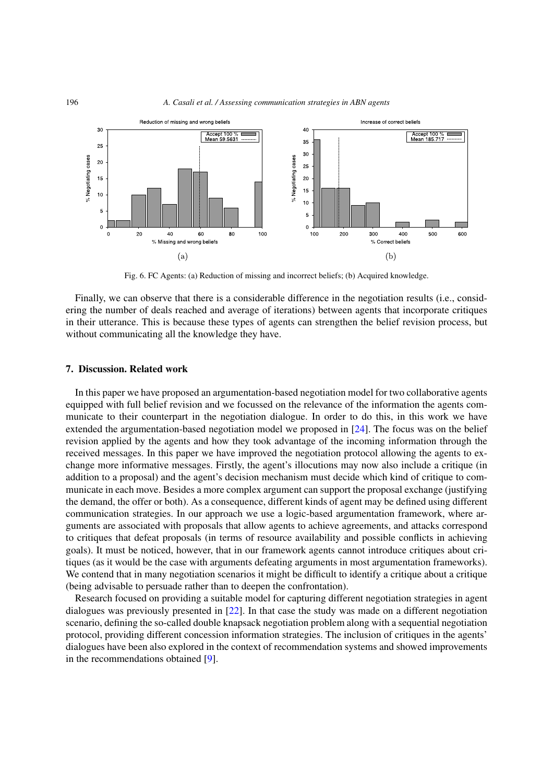

<span id="page-21-1"></span>Fig. 6. FC Agents: (a) Reduction of missing and incorrect beliefs; (b) Acquired knowledge.

Finally, we can observe that there is a considerable difference in the negotiation results (i.e., considering the number of deals reached and average of iterations) between agents that incorporate critiques in their utterance. This is because these types of agents can strengthen the belief revision process, but without communicating all the knowledge they have.

## <span id="page-21-0"></span>**7. Discussion. Related work**

In this paper we have proposed an argumentation-based negotiation model for two collaborative agents equipped with full belief revision and we focussed on the relevance of the information the agents communicate to their counterpart in the negotiation dialogue. In order to do this, in this work we have extended the argumentation-based negotiation model we proposed in [\[24\]](#page-25-4). The focus was on the belief revision applied by the agents and how they took advantage of the incoming information through the received messages. In this paper we have improved the negotiation protocol allowing the agents to exchange more informative messages. Firstly, the agent's illocutions may now also include a critique (in addition to a proposal) and the agent's decision mechanism must decide which kind of critique to communicate in each move. Besides a more complex argument can support the proposal exchange (justifying the demand, the offer or both). As a consequence, different kinds of agent may be defined using different communication strategies. In our approach we use a logic-based argumentation framework, where arguments are associated with proposals that allow agents to achieve agreements, and attacks correspond to critiques that defeat proposals (in terms of resource availability and possible conflicts in achieving goals). It must be noticed, however, that in our framework agents cannot introduce critiques about critiques (as it would be the case with arguments defeating arguments in most argumentation frameworks). We contend that in many negotiation scenarios it might be difficult to identify a critique about a critique (being advisable to persuade rather than to deepen the confrontation).

Research focused on providing a suitable model for capturing different negotiation strategies in agent dialogues was previously presented in [\[22](#page-24-12)]. In that case the study was made on a different negotiation scenario, defining the so-called double knapsack negotiation problem along with a sequential negotiation protocol, providing different concession information strategies. The inclusion of critiques in the agents' dialogues have been also explored in the context of recommendation systems and showed improvements in the recommendations obtained [\[9\]](#page-24-13).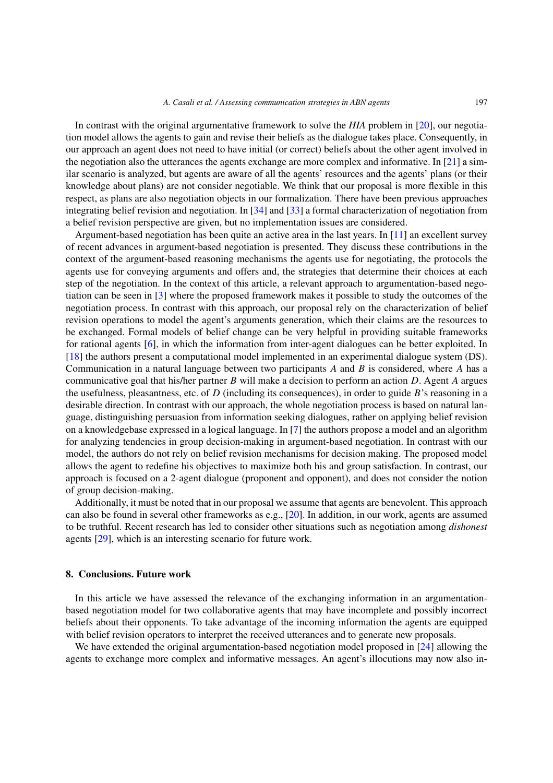In contrast with the original argumentative framework to solve the *HIA* problem in [\[20\]](#page-24-4), our negotiation model allows the agents to gain and revise their beliefs as the dialogue takes place. Consequently, in our approach an agent does not need to have initial (or correct) beliefs about the other agent involved in the negotiation also the utterances the agents exchange are more complex and informative. In [\[21\]](#page-24-14) a similar scenario is analyzed, but agents are aware of all the agents' resources and the agents' plans (or their knowledge about plans) are not consider negotiable. We think that our proposal is more flexible in this respect, as plans are also negotiation objects in our formalization. There have been previous approaches integrating belief revision and negotiation. In [\[34\]](#page-25-7) and [\[33\]](#page-25-8) a formal characterization of negotiation from a belief revision perspective are given, but no implementation issues are considered.

Argument-based negotiation has been quite an active area in the last years. In [\[11](#page-24-15)] an excellent survey of recent advances in argument-based negotiation is presented. They discuss these contributions in the context of the argument-based reasoning mechanisms the agents use for negotiating, the protocols the agents use for conveying arguments and offers and, the strategies that determine their choices at each step of the negotiation. In the context of this article, a relevant approach to argumentation-based negotiation can be seen in [\[3\]](#page-24-16) where the proposed framework makes it possible to study the outcomes of the negotiation process. In contrast with this approach, our proposal rely on the characterization of belief revision operations to model the agent's arguments generation, which their claims are the resources to be exchanged. Formal models of belief change can be very helpful in providing suitable frameworks for rational agents [\[6](#page-24-17)], in which the information from inter-agent dialogues can be better exploited. In [\[18](#page-24-18)] the authors present a computational model implemented in an experimental dialogue system (DS). Communication in a natural language between two participants *A* and *B* is considered, where *A* has a communicative goal that his/her partner *B* will make a decision to perform an action *D*. Agent *A* argues the usefulness, pleasantness, etc. of *D* (including its consequences), in order to guide *B*'s reasoning in a desirable direction. In contrast with our approach, the whole negotiation process is based on natural language, distinguishing persuasion from information seeking dialogues, rather on applying belief revision on a knowledgebase expressed in a logical language. In [\[7](#page-24-19)] the authors propose a model and an algorithm for analyzing tendencies in group decision-making in argument-based negotiation. In contrast with our model, the authors do not rely on belief revision mechanisms for decision making. The proposed model allows the agent to redefine his objectives to maximize both his and group satisfaction. In contrast, our approach is focused on a 2-agent dialogue (proponent and opponent), and does not consider the notion of group decision-making.

Additionally, it must be noted that in our proposal we assume that agents are benevolent. This approach can also be found in several other frameworks as e.g., [\[20\]](#page-24-4). In addition, in our work, agents are assumed to be truthful. Recent research has led to consider other situations such as negotiation among *dishonest* agents [\[29](#page-25-9)], which is an interesting scenario for future work.

## <span id="page-22-0"></span>**8. Conclusions. Future work**

In this article we have assessed the relevance of the exchanging information in an argumentationbased negotiation model for two collaborative agents that may have incomplete and possibly incorrect beliefs about their opponents. To take advantage of the incoming information the agents are equipped with belief revision operators to interpret the received utterances and to generate new proposals.

We have extended the original argumentation-based negotiation model proposed in [\[24](#page-25-4)] allowing the agents to exchange more complex and informative messages. An agent's illocutions may now also in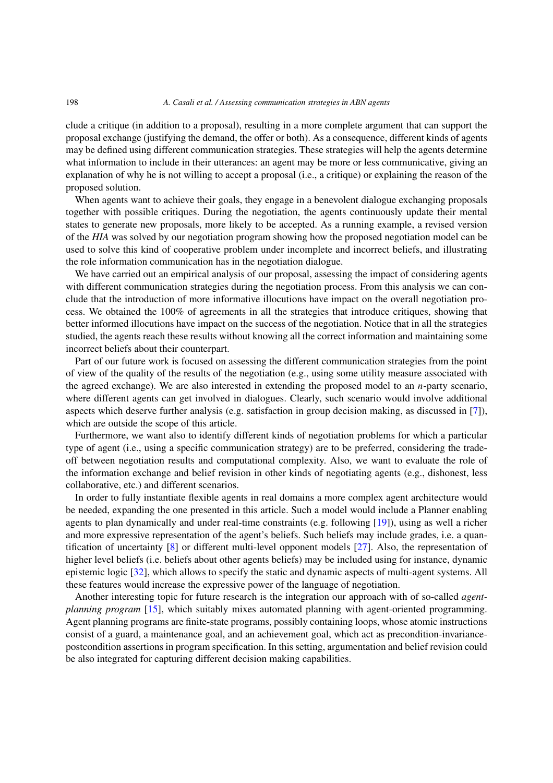clude a critique (in addition to a proposal), resulting in a more complete argument that can support the proposal exchange (justifying the demand, the offer or both). As a consequence, different kinds of agents may be defined using different communication strategies. These strategies will help the agents determine what information to include in their utterances: an agent may be more or less communicative, giving an explanation of why he is not willing to accept a proposal (i.e., a critique) or explaining the reason of the proposed solution.

When agents want to achieve their goals, they engage in a benevolent dialogue exchanging proposals together with possible critiques. During the negotiation, the agents continuously update their mental states to generate new proposals, more likely to be accepted. As a running example, a revised version of the *HIA* was solved by our negotiation program showing how the proposed negotiation model can be used to solve this kind of cooperative problem under incomplete and incorrect beliefs, and illustrating the role information communication has in the negotiation dialogue.

We have carried out an empirical analysis of our proposal, assessing the impact of considering agents with different communication strategies during the negotiation process. From this analysis we can conclude that the introduction of more informative illocutions have impact on the overall negotiation process. We obtained the 100% of agreements in all the strategies that introduce critiques, showing that better informed illocutions have impact on the success of the negotiation. Notice that in all the strategies studied, the agents reach these results without knowing all the correct information and maintaining some incorrect beliefs about their counterpart.

Part of our future work is focused on assessing the different communication strategies from the point of view of the quality of the results of the negotiation (e.g., using some utility measure associated with the agreed exchange). We are also interested in extending the proposed model to an *n*-party scenario, where different agents can get involved in dialogues. Clearly, such scenario would involve additional aspects which deserve further analysis (e.g. satisfaction in group decision making, as discussed in [\[7](#page-24-19)]), which are outside the scope of this article.

Furthermore, we want also to identify different kinds of negotiation problems for which a particular type of agent (i.e., using a specific communication strategy) are to be preferred, considering the tradeoff between negotiation results and computational complexity. Also, we want to evaluate the role of the information exchange and belief revision in other kinds of negotiating agents (e.g., dishonest, less collaborative, etc.) and different scenarios.

In order to fully instantiate flexible agents in real domains a more complex agent architecture would be needed, expanding the one presented in this article. Such a model would include a Planner enabling agents to plan dynamically and under real-time constraints (e.g. following [\[19](#page-24-7)]), using as well a richer and more expressive representation of the agent's beliefs. Such beliefs may include grades, i.e. a quantification of uncertainty [\[8](#page-24-20)] or different multi-level opponent models [\[27](#page-25-10)]. Also, the representation of higher level beliefs (i.e. beliefs about other agents beliefs) may be included using for instance, dynamic epistemic logic [\[32\]](#page-25-11), which allows to specify the static and dynamic aspects of multi-agent systems. All these features would increase the expressive power of the language of negotiation.

Another interesting topic for future research is the integration our approach with of so-called *agentplanning program* [\[15\]](#page-24-21), which suitably mixes automated planning with agent-oriented programming. Agent planning programs are finite-state programs, possibly containing loops, whose atomic instructions consist of a guard, a maintenance goal, and an achievement goal, which act as precondition-invariancepostcondition assertions in program specification. In this setting, argumentation and belief revision could be also integrated for capturing different decision making capabilities.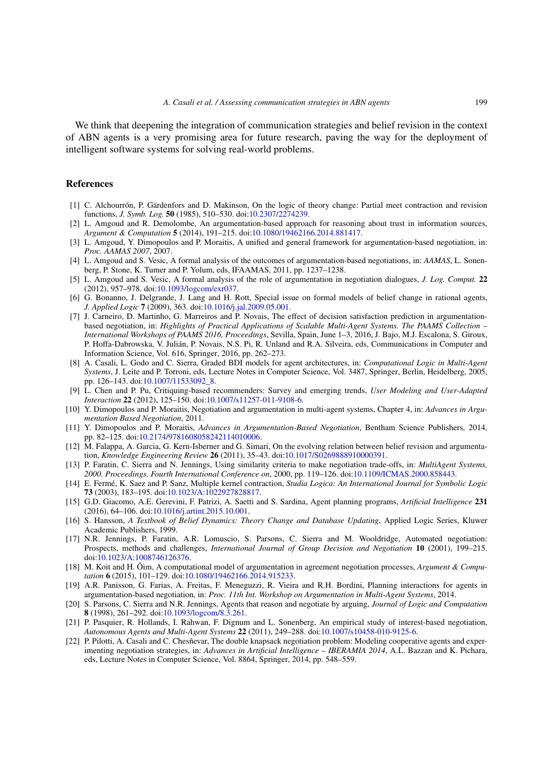We think that deepening the integration of communication strategies and belief revision in the context of ABN agents is a very promising area for future research, paving the way for the deployment of intelligent software systems for solving real-world problems.

#### **References**

- <span id="page-24-9"></span>[1] C. Alchourrón, P. Gärdenfors and D. Makinson, On the logic of theory change: Partial meet contraction and revision functions, *J. Symb. Log.* **50** (1985), 510–530. doi[:10.2307/2274239.](http://dx.doi.org/10.2307/2274239)
- <span id="page-24-5"></span>[2] L. Amgoud and R. Demolombe, An argumentation-based approach for reasoning about trust in information sources, *Argument & Computation* **5** (2014), 191–215. doi[:10.1080/19462166.2014.881417.](http://dx.doi.org/10.1080/19462166.2014.881417)
- <span id="page-24-16"></span>[3] L. Amgoud, Y. Dimopoulos and P. Moraitis, A unified and general framework for argumentation-based negotiation, in: *Proc. AAMAS 2007*, 2007.
- <span id="page-24-2"></span>[4] L. Amgoud and S. Vesic, A formal analysis of the outcomes of argumentation-based negotiations, in: *AAMAS*, L. Sonenberg, P. Stone, K. Tumer and P. Yolum, eds, IFAAMAS, 2011, pp. 1237–1238.
- <span id="page-24-6"></span>[5] L. Amgoud and S. Vesic, A formal analysis of the role of argumentation in negotiation dialogues, *J. Log. Comput.* **22** (2012), 957–978. doi[:10.1093/logcom/exr037.](http://dx.doi.org/10.1093/logcom/exr037)
- <span id="page-24-17"></span>[6] G. Bonanno, J. Delgrande, J. Lang and H. Rott, Special issue on formal models of belief change in rational agents, *J. Applied Logic* **7** (2009), 363. doi[:10.1016/j.jal.2009.05.001.](http://dx.doi.org/10.1016/j.jal.2009.05.001)
- <span id="page-24-19"></span>[7] J. Carneiro, D. Martinho, G. Marreiros and P. Novais, The effect of decision satisfaction prediction in argumentationbased negotiation, in: *Highlights of Practical Applications of Scalable Multi-Agent Systems. The PAAMS Collection – International Workshops of PAAMS 2016, Proceedings*, Sevilla, Spain, June 1–3, 2016, J. Bajo, M.J. Escalona, S. Giroux, P. Hoffa-Dabrowska, V. Julián, P. Novais, N.S. Pi, R. Unland and R.A. Silveira, eds, Communications in Computer and Information Science, Vol. 616, Springer, 2016, pp. 262–273.
- <span id="page-24-20"></span>[8] A. Casali, L. Godo and C. Sierra, Graded BDI models for agent architectures, in: *Computational Logic in Multi-Agent Systems*, J. Leite and P. Torroni, eds, Lecture Notes in Computer Science, Vol. 3487, Springer, Berlin, Heidelberg, 2005, pp. 126–143. doi[:10.1007/11533092\\_8.](http://dx.doi.org/10.1007/11533092_8)
- <span id="page-24-13"></span>[9] L. Chen and P. Pu, Critiquing-based recommenders: Survey and emerging trends, *User Modeling and User-Adapted Interaction* **22** (2012), 125–150. doi[:10.1007/s11257-011-9108-6.](http://dx.doi.org/10.1007/s11257-011-9108-6)
- <span id="page-24-3"></span>[10] Y. Dimopoulos and P. Moraitis, Negotiation and argumentation in multi-agent systems, Chapter 4, in: *Advances in Argumentation Based Negotiation*, 2011.
- <span id="page-24-15"></span>[11] Y. Dimopoulos and P. Moraitis, *Advances in Argumentation-Based Negotiation*, Bentham Science Publishers, 2014, pp. 82–125. doi[:10.2174/9781608058242114010006.](http://dx.doi.org/10.2174/9781608058242114010006)
- <span id="page-24-8"></span>[12] M. Falappa, A. Garcia, G. Kern-Isberner and G. Simari, On the evolving relation between belief revision and argumentation, *Knowledge Engineering Review* **26** (2011), 35–43. doi[:10.1017/S0269888910000391.](http://dx.doi.org/10.1017/S0269888910000391)
- <span id="page-24-1"></span>[13] P. Faratin, C. Sierra and N. Jennings, Using similarity criteria to make negotiation trade-offs, in: *MultiAgent Systems, 2000. Proceedings. Fourth International Conference on*, 2000, pp. 119–126. doi[:10.1109/ICMAS.2000.858443.](http://dx.doi.org/10.1109/ICMAS.2000.858443)
- <span id="page-24-10"></span>[14] E. Fermé, K. Saez and P. Sanz, Multiple kernel contraction, *Studia Logica: An International Journal for Symbolic Logic* **73** (2003), 183–195. doi[:10.1023/A:1022927828817.](http://dx.doi.org/10.1023/A:1022927828817)
- <span id="page-24-21"></span>[15] G.D. Giacomo, A.E. Gerevini, F. Patrizi, A. Saetti and S. Sardina, Agent planning programs, *Artificial Intelligence* **231** (2016), 64–106. doi[:10.1016/j.artint.2015.10.001.](http://dx.doi.org/10.1016/j.artint.2015.10.001)
- <span id="page-24-11"></span>[16] S. Hansson, *A Textbook of Belief Dynamics: Theory Change and Database Updating*, Applied Logic Series, Kluwer Academic Publishers, 1999.
- <span id="page-24-0"></span>[17] N.R. Jennings, P. Faratin, A.R. Lomuscio, S. Parsons, C. Sierra and M. Wooldridge, Automated negotiation: Prospects, methods and challenges, *International Journal of Group Decision and Negotiation* **10** (2001), 199–215. doi[:10.1023/A:1008746126376.](http://dx.doi.org/10.1023/A:1008746126376)
- <span id="page-24-18"></span>[18] M. Koit and H. Õim, A computational model of argumentation in agreement negotiation processes, *Argument & Computation* **6** (2015), 101–129. doi[:10.1080/19462166.2014.915233.](http://dx.doi.org/10.1080/19462166.2014.915233)
- <span id="page-24-7"></span>[19] A.R. Panisson, G. Farias, A. Freitas, F. Meneguzzi, R. Vieira and R.H. Bordini, Planning interactions for agents in argumentation-based negotiation, in: *Proc. 11th Int. Workshop on Argumentation in Multi-Agent Systems*, 2014.
- <span id="page-24-4"></span>[20] S. Parsons, C. Sierra and N.R. Jennings, Agents that reason and negotiate by arguing, *Journal of Logic and Computation* **8** (1998), 261–292. doi[:10.1093/logcom/8.3.261.](http://dx.doi.org/10.1093/logcom/8.3.261)
- <span id="page-24-14"></span>[21] P. Pasquier, R. Hollands, I. Rahwan, F. Dignum and L. Sonenberg, An empirical study of interest-based negotiation, *Autonomous Agents and Multi-Agent Systems* **22** (2011), 249–288. doi[:10.1007/s10458-010-9125-6.](http://dx.doi.org/10.1007/s10458-010-9125-6)
- <span id="page-24-12"></span>[22] P. Pilotti, A. Casali and C. Chesñevar, The double knapsack negotiation problem: Modeling cooperative agents and experimenting negotiation strategies, in: *Advances in Artificial Intelligence – IBERAMIA 2014*, A.L. Bazzan and K. Pichara, eds, Lecture Notes in Computer Science, Vol. 8864, Springer, 2014, pp. 548–559.